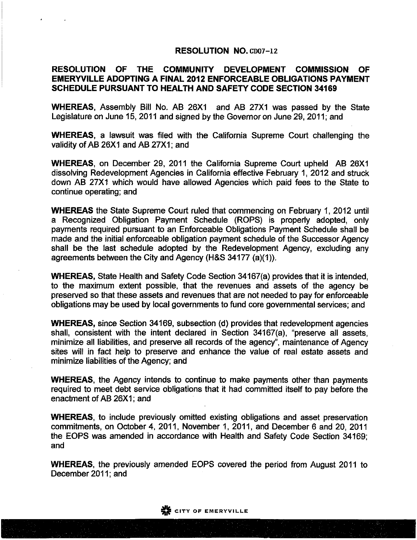## **RESOLUTION NO. CD07-12**

## RESOLUTION OF THE COMMUNITY DEVELOPMENT COMMISSION OF **EMERYVILLE ADOPTING A FINAL 2012 ENFORCEABLE OBLIGATIONS PAYMENT** SCHEDULE PURSUANT TO HEALTH AND SAFETY CODE SECTION 34169

WHEREAS, Assembly Bill No. AB 26X1 and AB 27X1 was passed by the State Legislature on June 15, 2011 and signed by the Governor on June 29, 2011; and

**WHEREAS, a lawsuit was filed with the California Supreme Court challenging the** validity of AB 26X1 and AB 27X1; and

**WHEREAS, on December 29, 2011 the California Supreme Court upheld AB 26X1** dissolving Redevelopment Agencies in California effective February 1, 2012 and struck down AB 27X1 which would have allowed Agencies which paid fees to the State to continue operating; and

**WHEREAS** the State Supreme Court ruled that commencing on February 1, 2012 until a Recognized Obligation Payment Schedule (ROPS) is properly adopted, only payments required pursuant to an Enforceable Obligations Payment Schedule shall be made and the initial enforceable obligation payment schedule of the Successor Agency shall be the last schedule adopted by the Redevelopment Agency, excluding any agreements between the City and Agency (H&S 34177 (a)(1)).

**WHEREAS, State Health and Safety Code Section 34167(a) provides that it is intended.** to the maximum extent possible, that the revenues and assets of the agency be preserved so that these assets and revenues that are not needed to pay for enforceable obligations may be used by local governments to fund core governmental services; and

**WHEREAS, since Section 34169, subsection (d) provides that redevelopment agencies** shall, consistent with the intent declared in Section 34167(a), "preserve all assets, minimize all liabilities, and preserve all records of the agency", maintenance of Agency sites will in fact help to preserve and enhance the value of real estate assets and minimize liabilities of the Agency; and

**WHEREAS**, the Agency intends to continue to make payments other than payments required to meet debt service obligations that it had committed itself to pay before the enactment of AB 26X1; and

**WHEREAS**, to include previously omitted existing obligations and asset preservation commitments, on October 4, 2011, November 1, 2011, and December 6 and 20, 2011 the EOPS was amended in accordance with Health and Safety Code Section 34169; and

**WHEREAS, the previously amended EOPS covered the period from August 2011 to** December 2011; and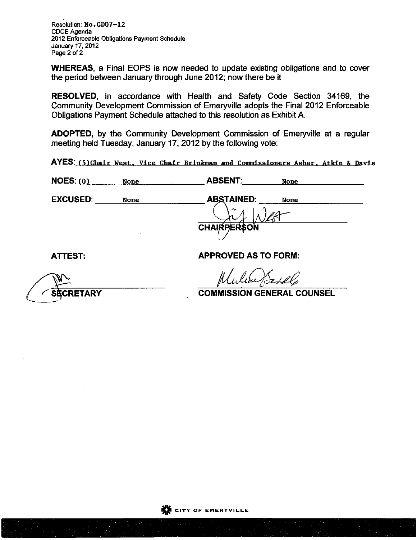Resolution: No.CD07-12 **CDCE Agenda** 2012 Enforceable Obligations Payment Schedule January 17, 2012 Page 2 of 2

WHEREAS, a Final EOPS is now needed to update existing obligations and to cover the period between January through June 2012; now there be it

RESOLVED, in accordance with Health and Safety Code Section 34169, the Community Development Commission of Emeryville adopts the Final 2012 Enforceable Obligations Payment Schedule attached to this resolution as Exhibit A.

**ADOPTED, by the Community Development Commission of Emeryville at a regular** meeting held Tuesday, January 17, 2012 by the following vote:

AYES: (5) Chair West, Vice Chair Brinkman and Commissioners Asher, Atkin & Davis

| NOES: (0)       | <b>None</b> | <b>ABSENT:</b><br>None    |  |
|-----------------|-------------|---------------------------|--|
| <b>EXCUSED:</b> | None        | <b>ABSTAINED:</b><br>None |  |
|                 |             | $\sim$                    |  |
|                 |             | <b>CHAIRPERSON</b>        |  |
|                 |             |                           |  |

**ATTEST:** 

**ETARY** 

**APPROVED AS TO FORM:** 

**COMMISSION GENERAL COUNSEL** 

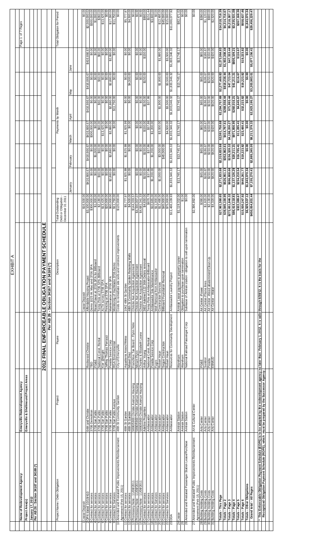| ent Agency<br>Name of Redevelopm                                                                                                                                                                                                                                                        | Emeryville Redevelopment Agency                                        |                                                    | ⋖<br>EXHIBIT                                                                                                     |                                                               |                                 |                                 |                                        |                                 |                                 | Page1                           | of 7 Pages                           |
|-----------------------------------------------------------------------------------------------------------------------------------------------------------------------------------------------------------------------------------------------------------------------------------------|------------------------------------------------------------------------|----------------------------------------------------|------------------------------------------------------------------------------------------------------------------|---------------------------------------------------------------|---------------------------------|---------------------------------|----------------------------------------|---------------------------------|---------------------------------|---------------------------------|--------------------------------------|
| Project Area(s)                                                                                                                                                                                                                                                                         | Emeryville & Shellmound Project Areas                                  |                                                    |                                                                                                                  |                                                               |                                 |                                 |                                        |                                 |                                 |                                 |                                      |
|                                                                                                                                                                                                                                                                                         |                                                                        |                                                    |                                                                                                                  |                                                               |                                 |                                 |                                        |                                 |                                 |                                 |                                      |
| 34169<br>and<br>167<br>January 17, 2012<br>Per AB 26 - Section 34                                                                                                                                                                                                                       |                                                                        |                                                    |                                                                                                                  |                                                               |                                 |                                 |                                        |                                 |                                 |                                 |                                      |
|                                                                                                                                                                                                                                                                                         |                                                                        |                                                    | <b>SCHEDULE</b><br>2012 FINAL ENFORCEABLE OBLIGATION PAYMENT                                                     |                                                               |                                 |                                 |                                        |                                 |                                 |                                 |                                      |
|                                                                                                                                                                                                                                                                                         |                                                                        |                                                    | Per AB 26 - Section 34167 and 34169 (*)                                                                          |                                                               |                                 |                                 |                                        |                                 |                                 |                                 |                                      |
|                                                                                                                                                                                                                                                                                         |                                                                        |                                                    |                                                                                                                  |                                                               |                                 |                                 |                                        |                                 |                                 |                                 |                                      |
| Project Name / Debt Obligation                                                                                                                                                                                                                                                          | Project                                                                | Payee                                              | Description                                                                                                      | Debt or Obligation -<br>December 31 2011<br>Total Outstanding |                                 |                                 | Payments by Month                      |                                 |                                 |                                 | Total Obligation for Period          |
|                                                                                                                                                                                                                                                                                         |                                                                        |                                                    |                                                                                                                  |                                                               | January                         | March<br>February               | April                                  | Vay                             | June                            |                                 |                                      |
|                                                                                                                                                                                                                                                                                         |                                                                        |                                                    |                                                                                                                  |                                                               |                                 |                                 |                                        |                                 |                                 |                                 |                                      |
| Lease Deposit                                                                                                                                                                                                                                                                           |                                                                        |                                                    | Lease Deposit                                                                                                    | \$16,500.00                                                   |                                 |                                 |                                        |                                 |                                 |                                 | \$0.00                               |
| OPA dated 10/19/410                                                                                                                                                                                                                                                                     | 64th and Christie<br>Demolition<br>,06                                 | Rockwood Christie<br>ГBD                           | Demo 1025 W. Mac and 3706 SPA<br>Affordable Housing Project                                                      | \$3,100,000.00<br>\$300,000.00                                | 8<br>\$416,666.67<br>\$Ó,       | 8<br>\$416,666.67<br>ဌ          | \$416,666.67<br>\$300,000.00<br>\$0.00 | \$416,666.67<br>81<br>\$Ó,      | g<br>\$416,666.67               | \$416,666.67                    | \$2,500,000.02<br>\$300,000.02       |
| Contract for services<br>Contract for services                                                                                                                                                                                                                                          | 3706 San Pablo                                                         | PG&E                                               | Reset Power at 3706 SPA for Billboard                                                                            | \$1,000.00                                                    | \$0.00                          | \$1,000.00                      |                                        |                                 | \$0.00                          | \$0.00<br>\$0.00<br>\$60.00     | \$1,000.00                           |
| 5 Contract for services                                                                                                                                                                                                                                                                 | 3706 San Pablo                                                         | National Const. Renta                              | Temp Pole at 3706 SPA-Billboard                                                                                  | \$2,180.00                                                    | \$60.00                         | \$60.00                         | \$60.00                                | \$0.00<br>\$60.00               | \$60.00                         |                                 | \$360.0                              |
| 6 Contract for services                                                                                                                                                                                                                                                                 | 3706 San Pablo                                                         | Kier @Wright                                       | ALTA survey 3706 SPA                                                                                             | \$13,425.00                                                   | \$0.00                          | \$0.00                          | \$13,425.00                            | \$0.00                          | \$0.00                          | \$0.00                          | \$13,425.00                          |
| Contract for services                                                                                                                                                                                                                                                                   | 3706 San Pablo                                                         | Jeffrey Thomas Ferrasci                            | Fencing at 3706 SPA                                                                                              | \$20,000.00                                                   | \$0.00                          | \$0.00                          | \$0.00                                 | \$0.00                          | \$0.00                          | \$0.00<br>\$2,880.00<br>\$0.00  | \$0.00                               |
|                                                                                                                                                                                                                                                                                         | 3706 San Pablo<br>3706 San Pablo Avenue                                | Peralta Service Corp<br>RGA Environmental          | Monitoring of HazWaste 3706 Demo<br>Maintenance at 3706 SPA                                                      | \$60,000.00                                                   | \$2,880.00                      | \$2,880.00                      | \$2,880.00                             | \$2,880.00<br>\$11,750.00       | \$2,880.00                      |                                 |                                      |
| Public Improvements Reimbursement<br>8 Contract for services<br>9 Contract for Services<br>10 Amended and Restated                                                                                                                                                                      | 48th St Community Garden                                               | City of Emeryville                                 | ovements<br>Costs to remediate site soils and construct impr                                                     | \$120,000.00                                                  |                                 |                                 |                                        |                                 |                                 |                                 | \$17,280.00<br>\$11,750.00<br>\$0.00 |
| $\left(1\right)$<br>Agreement (Feb 15, 20                                                                                                                                                                                                                                               |                                                                        |                                                    |                                                                                                                  |                                                               |                                 |                                 |                                        |                                 |                                 |                                 |                                      |
| 11 Contract for services                                                                                                                                                                                                                                                                | 48th St Garden                                                         | Aquatierra Assoc/Weiss                             | 1042 48th St Garden                                                                                              | \$5,777.97                                                    | \$1,925.99                      | \$1,925.99                      | \$1,925.99                             | $\frac{50.00}{50.00}$           | \$0.00                          | $\frac{50.00}{50.00}$           | \$5,777.97<br>\$4,500.00             |
| 12 Contract for services                                                                                                                                                                                                                                                                | 48th St Garden                                                         | Misael Diaz                                        | 48th St Community Garden Retaining Walls                                                                         | \$4,500.00                                                    | \$0.00                          | \$0.00                          | \$0.00                                 |                                 | \$4,500.00                      |                                 |                                      |
| 13 Promissory Note - 11/08/2011                                                                                                                                                                                                                                                         | 5890/5900 Christie Avenue Housing                                      | Franchise Tax Board - Flynn Note                   | Christie Ave Acquisition Agreement                                                                               | \$144,333.57                                                  |                                 |                                 |                                        |                                 |                                 |                                 | \$0.00                               |
| 14 Promissory Note - 11/08/2011<br>15 Promissory Note - 11/08/2011                                                                                                                                                                                                                      | 5890/5900 Christie Avenue Housing<br>5890/5900 Christie Avenue Housing | Charles & Elizabeth Leone<br>Miriam Flynn          | Christie Ave Acquisition Agreement<br>Christie Ave Acquisition Agreement                                         | \$4,330,007.07<br>\$4,681,341.33                              | \$0.00                          | \$0.00                          | \$0.00                                 | \$0.00                          | \$0.00                          | $$0.00$<br>$$0.00$              | $rac{80.00}{$0.00}$                  |
| 16 Contract for services                                                                                                                                                                                                                                                                | Adeline Properties                                                     | Arthur Young                                       | 3602 Adeline/1122 36th Debris removal                                                                            | \$4,650.00                                                    |                                 | \$150.00                        | \$150.00                               |                                 | \$150.00                        | 00.0048                         | 000008                               |
| 17 Contract for services                                                                                                                                                                                                                                                                | Ambassador                                                             | National Const. Rental                             | Temp Pole at Ambassador-Billboard                                                                                | \$870.78                                                      | \$150.00                        | \$37.86                         | \$37.86                                | \$150.00                        |                                 |                                 | \$151.44                             |
| 18 Contract for services                                                                                                                                                                                                                                                                | Ambassador                                                             | Peralta Service Corp                               | Ambassador Site Maintenance                                                                                      | \$10,665.00                                                   | \$1,200.00                      | \$1,200.00                      | \$1,200.00                             |                                 |                                 |                                 | \$3,600.00                           |
| 19 Contract for Services                                                                                                                                                                                                                                                                | Ambassador                                                             | Fugro                                              | Well Removal from Ambassado                                                                                      | \$11,000.00<br>\$12,495.00<br>\$45,000.00                     |                                 |                                 |                                        |                                 |                                 |                                 | \$0.00                               |
| 20 Contract for services<br>21 Contract for services                                                                                                                                                                                                                                    | Ambassador                                                             | Robert Haun                                        | <b>Construction Services</b>                                                                                     |                                                               | \$1,000.00                      | \$3,000.00<br>\$45,000.00       | \$3,000.00                             | 00.008'4\$                      | 00'008'1\$                      | \$1,895.00                      | \$12,495.00<br>\$45,000.00           |
|                                                                                                                                                                                                                                                                                         | Ambassador                                                             | Construction<br>Segue (                            | <b>Bilboard Foundation Removal</b>                                                                               |                                                               |                                 |                                 |                                        |                                 |                                 |                                 |                                      |
| 22 Contract for Services<br>23 DDA                                                                                                                                                                                                                                                      | Ambassador<br>Ambassador                                               | Resources for Community Development<br>Robert Haun | Ambassador Laundry Project                                                                                       | \$11,466,109.93<br>\$75,000.00                                | \$1,833,346.32                  | \$1,833,346.32                  | \$4,833,346.32                         | \$3,500.00<br>\$1,833,346.32    | \$3,500.00<br>\$1,833,346.32    | \$3,500.00<br>\$1,833,346.32    | \$15,000.00<br>\$11,000,077.92       |
|                                                                                                                                                                                                                                                                                         |                                                                        |                                                    |                                                                                                                  |                                                               |                                 |                                 |                                        |                                 |                                 |                                 |                                      |
|                                                                                                                                                                                                                                                                                         | Amtrak Station                                                         | Wareham                                            | Amtrak Lease payment to property owner                                                                           |                                                               | \$13,745.17                     | \$13,745.17                     | \$13,745.17                            | \$13,745.17                     | \$13,745.17                     | \$13,745.17                     |                                      |
| Passenger Station Lease/Purchase<br>24 Lease<br>25<br>26 Amended and Restated                                                                                                                                                                                                           | Amtrak Station<br>Amtrak Station                                       | Wareham<br>National Railroad Passenger Corp        | oon termination<br>Obligation to purchase upon termination<br>Sublease of Amtrak station - obligation to sell up | \$1,119,332.00<br>\$1.00<br>\$0.00                            |                                 |                                 |                                        |                                 |                                 |                                 | \$82,471.02<br>\$0.00<br>\$0.00      |
|                                                                                                                                                                                                                                                                                         |                                                                        |                                                    |                                                                                                                  |                                                               |                                 |                                 |                                        |                                 |                                 |                                 |                                      |
| Public Improvements Reimbursement<br>Agreement (Feb 15, 2011)<br>27 Amended and Restated                                                                                                                                                                                                | Art & Cultural Center                                                  |                                                    |                                                                                                                  | \$2,396,892.00                                                |                                 |                                 |                                        |                                 |                                 |                                 | \$0.00                               |
|                                                                                                                                                                                                                                                                                         | Arts Center                                                            | PG&E                                               | Art Center -Power                                                                                                |                                                               |                                 |                                 |                                        |                                 |                                 |                                 |                                      |
| 28 Building Holding Costs<br>29 Building Holding Costs<br>30 Building Holding Costs<br>31 Building Holding Costs                                                                                                                                                                        | Center<br>Arts                                                         | Sonitrol                                           |                                                                                                                  | \$390.00<br>\$1,920.00<br>\$2,130.00<br>\$4,320.00            | \$65.00<br>\$186.67<br>\$150.00 | \$65.00<br>\$186.67<br>\$150.00 | \$186.67<br>\$186.67<br>\$150.00       | \$65.00<br>\$186.67<br>\$150.00 | \$65.00<br>\$186.67<br>\$150.00 | \$65.00<br>\$186.67<br>\$150.00 | \$390.00<br>\$1,120.02<br>\$900.00   |
|                                                                                                                                                                                                                                                                                         | Arts Center                                                            | Peralta                                            | Art Center-Phone lines<br>Art Center -Weed abatemment/Clean-Up                                                   |                                                               |                                 |                                 |                                        |                                 |                                 |                                 |                                      |
|                                                                                                                                                                                                                                                                                         | Arts Center                                                            | EBMUD                                              | Art Center - Water                                                                                               |                                                               | \$420.00                        | \$420.00                        | \$420.00                               | \$420.00                        | \$420.0                         | \$420.00                        | \$2,520.00                           |
| <b>Totals - This Page</b>                                                                                                                                                                                                                                                               |                                                                        |                                                    |                                                                                                                  | \$27,961,590.65                                               | \$2,271,833.68                  | \$2,319,833.68                  | \$2,591,758.68                         | \$2,284,757.69                  | \$2,277,469.83                  | \$2,273,064.83                  | \$14,018,718.39                      |
| Totals - Page 2                                                                                                                                                                                                                                                                         |                                                                        |                                                    |                                                                                                                  | \$39,845,100.95                                               | \$526,951.13                    | \$352,862.61                    | \$414,797.61                           | \$269,558.44                    | \$818,238.44                    | \$1,932,308.44                  | \$4,314,716.67                       |
|                                                                                                                                                                                                                                                                                         |                                                                        |                                                    |                                                                                                                  |                                                               |                                 |                                 |                                        |                                 |                                 | \$47,333.44                     |                                      |
| Totals - Page 3                                                                                                                                                                                                                                                                         |                                                                        |                                                    |                                                                                                                  | \$272,651,846.32                                              | \$696,808.66                    | \$156,328.32                    | \$4,198,200.27                         | \$71,993.44                     | \$47,723.04                     |                                 | \$5,218,387.17                       |
| Totals - Page 4                                                                                                                                                                                                                                                                         |                                                                        |                                                    |                                                                                                                  | \$86,414,118.81                                               | \$1,137,126.29                  | \$20,211.21                     | \$971,856.95                           | \$260,016.21                    | \$41,211.21                     | \$805,109.21                    | \$3,235,531.08                       |
| Totals - Page 5                                                                                                                                                                                                                                                                         |                                                                        |                                                    |                                                                                                                  | \$322,389.67                                                  | \$234,218.54                    | \$16,785.41                     | \$11,285.41                            | \$4,645.67                      | \$116.67                        | \$116.67                        | \$267,168.36                         |
| Totals - Page 6                                                                                                                                                                                                                                                                         |                                                                        |                                                    |                                                                                                                  | \$15,930,247.92                                               | \$445,261.77                    | \$19,223.82                     | \$23,480.41                            | \$32,223.82                     | \$19,223.82                     | \$19,223.82                     | \$558,637.46                         |
| Totals - Other Obligations                                                                                                                                                                                                                                                              |                                                                        |                                                    |                                                                                                                  | \$6,929,537.12                                                | \$1,843,070.34                  | \$0.00                          | \$0.00                                 | \$0.00                          | \$0.00                          | \$0.00                          | \$1,843,070.34                       |
| 5<br>Grand total - All Pag                                                                                                                                                                                                                                                              |                                                                        |                                                    |                                                                                                                  | \$450,054,831.44                                              | \$7,155,270.41                  | \$2,885,245.05                  | \$8,211,379.33                         | \$2,923,195.27                  | \$3,203,983.01                  | \$5,077,156.41                  | \$29,456,229.47                      |
|                                                                                                                                                                                                                                                                                         |                                                                        |                                                    |                                                                                                                  |                                                               |                                 |                                 |                                        |                                 |                                 |                                 |                                      |
| This Enforceable Obligation Payment Schedule (EOPS) is to be adopted by the redevelopment agency no later than February 1, 2012. It is valid through 6/30/12. It is the basis for the<br>Recognized Obligation Payment Schedule (ROPS), which must be prepared by the Successor Agency. |                                                                        |                                                    |                                                                                                                  |                                                               |                                 |                                 |                                        |                                 |                                 |                                 |                                      |
|                                                                                                                                                                                                                                                                                         |                                                                        |                                                    |                                                                                                                  |                                                               |                                 |                                 |                                        |                                 |                                 |                                 |                                      |
|                                                                                                                                                                                                                                                                                         |                                                                        |                                                    |                                                                                                                  |                                                               |                                 |                                 |                                        |                                 |                                 |                                 |                                      |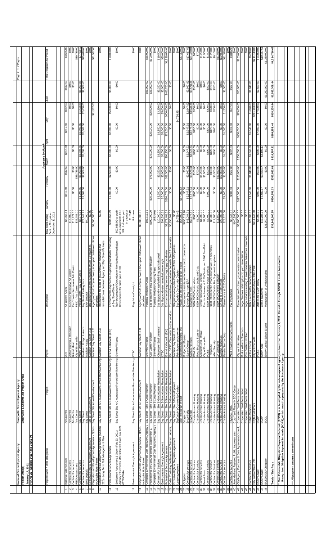| Name of Redevelopment Agency:                                                                                                                       | Emeryville Redevelopment Agency                                                                                                                                                                                                   |                                                                                            |                                                                                                                                                                                                                                         |                                                                                                                                                                                                                      |                                                              |                                                                                                                                                                                                                                                                    |                                                                                  |                                                                                            |                                                                                                                                                                                | Page 2                                                                                                                                                                                                                                                                                                                                                                             | of 7 Pages                                                                                                                                                                                                                                                                                                                                                                                              |
|-----------------------------------------------------------------------------------------------------------------------------------------------------|-----------------------------------------------------------------------------------------------------------------------------------------------------------------------------------------------------------------------------------|--------------------------------------------------------------------------------------------|-----------------------------------------------------------------------------------------------------------------------------------------------------------------------------------------------------------------------------------------|----------------------------------------------------------------------------------------------------------------------------------------------------------------------------------------------------------------------|--------------------------------------------------------------|--------------------------------------------------------------------------------------------------------------------------------------------------------------------------------------------------------------------------------------------------------------------|----------------------------------------------------------------------------------|--------------------------------------------------------------------------------------------|--------------------------------------------------------------------------------------------------------------------------------------------------------------------------------|------------------------------------------------------------------------------------------------------------------------------------------------------------------------------------------------------------------------------------------------------------------------------------------------------------------------------------------------------------------------------------|---------------------------------------------------------------------------------------------------------------------------------------------------------------------------------------------------------------------------------------------------------------------------------------------------------------------------------------------------------------------------------------------------------|
| Project Area(s)                                                                                                                                     | Emeryville & Shellmound Project Areas                                                                                                                                                                                             |                                                                                            |                                                                                                                                                                                                                                         |                                                                                                                                                                                                                      |                                                              |                                                                                                                                                                                                                                                                    |                                                                                  |                                                                                            |                                                                                                                                                                                |                                                                                                                                                                                                                                                                                                                                                                                    |                                                                                                                                                                                                                                                                                                                                                                                                         |
| <b>January 17, 2012</b><br>Per AB 26 - Section 34167                                                                                                |                                                                                                                                                                                                                                   |                                                                                            |                                                                                                                                                                                                                                         |                                                                                                                                                                                                                      |                                                              |                                                                                                                                                                                                                                                                    |                                                                                  |                                                                                            |                                                                                                                                                                                |                                                                                                                                                                                                                                                                                                                                                                                    |                                                                                                                                                                                                                                                                                                                                                                                                         |
| and 34169 (*)                                                                                                                                       |                                                                                                                                                                                                                                   |                                                                                            |                                                                                                                                                                                                                                         |                                                                                                                                                                                                                      |                                                              |                                                                                                                                                                                                                                                                    |                                                                                  |                                                                                            |                                                                                                                                                                                |                                                                                                                                                                                                                                                                                                                                                                                    |                                                                                                                                                                                                                                                                                                                                                                                                         |
|                                                                                                                                                     |                                                                                                                                                                                                                                   |                                                                                            |                                                                                                                                                                                                                                         |                                                                                                                                                                                                                      |                                                              |                                                                                                                                                                                                                                                                    | Mont                                                                             |                                                                                            |                                                                                                                                                                                |                                                                                                                                                                                                                                                                                                                                                                                    |                                                                                                                                                                                                                                                                                                                                                                                                         |
| Project Name / Debt Obligation                                                                                                                      | Project                                                                                                                                                                                                                           | Payee                                                                                      | Description                                                                                                                                                                                                                             | Total Outstanding<br>Debt or Obligation -<br>December 31 2011                                                                                                                                                        | Vienual                                                      | February                                                                                                                                                                                                                                                           | April<br>Payments by <b>f</b><br>March                                           | VaN                                                                                        | June                                                                                                                                                                           |                                                                                                                                                                                                                                                                                                                                                                                    | Total Obligation for Period                                                                                                                                                                                                                                                                                                                                                                             |
|                                                                                                                                                     |                                                                                                                                                                                                                                   | Гā                                                                                         |                                                                                                                                                                                                                                         | <b>S67</b>                                                                                                                                                                                                           | 12.50<br>$\overline{\$}$                                     | \$612.                                                                                                                                                                                                                                                             | l S                                                                              | GO <sub>1</sub>                                                                            |                                                                                                                                                                                |                                                                                                                                                                                                                                                                                                                                                                                    | ,675.<br>အိ                                                                                                                                                                                                                                                                                                                                                                                             |
| <b>Building Holding Costs</b><br>contract                                                                                                           | Arts Center                                                                                                                                                                                                                       | AMS Planning & Research                                                                    | ίē<br>Art Center-Alarm<br><b>Business Plan</b>                                                                                                                                                                                          | Z.<br>49                                                                                                                                                                                                             |                                                              |                                                                                                                                                                                                                                                                    | \$612.                                                                           | \$612.                                                                                     | \$612                                                                                                                                                                          | \$612                                                                                                                                                                                                                                                                                                                                                                              |                                                                                                                                                                                                                                                                                                                                                                                                         |
| ontract for services<br>ч∣ಣ                                                                                                                         | Arts Center<br>Arts Center<br>Arts Center<br>Bay Street                                                                                                                                                                           | Robert Haur                                                                                | view-Art Center<br>review Arts Center<br>Pre Construction r<br>PBID - Arts Center                                                                                                                                                       |                                                                                                                                                                                                                      | \$0.00                                                       |                                                                                                                                                                                                                                                                    | S.<br>ន្ធ                                                                        | \$0.00                                                                                     | \$0.00                                                                                                                                                                         | \$0.00                                                                                                                                                                                                                                                                                                                                                                             |                                                                                                                                                                                                                                                                                                                                                                                                         |
| Contract for services<br><b>DBG</b>                                                                                                                 |                                                                                                                                                                                                                                   |                                                                                            |                                                                                                                                                                                                                                         |                                                                                                                                                                                                                      |                                                              | $\begin{array}{c} 80.00 \\ 839,785.00 \\ 81,293.85 \\ 82,608.00 \end{array}$                                                                                                                                                                                       |                                                                                  |                                                                                            |                                                                                                                                                                                |                                                                                                                                                                                                                                                                                                                                                                                    |                                                                                                                                                                                                                                                                                                                                                                                                         |
| Contract for services<br>ERN Deposit<br>$\mathbf 6$                                                                                                 | Bay Street<br>Bay Street<br>Site B Rede                                                                                                                                                                                           | City or ⊑nnory<br> Watry Design<br> Fieldman Rolapp & Assoc_<br>  Fieldman Rolapp & Assoc_ | Parking Costs - Bay St Phase II<br>Bay Street Parking Svcs<br>ERN Deposi                                                                                                                                                                | $\begin{tabular}{ c c } \hline $818,500,000 \\\hline $818,971,000 \\\hline $83,785,000 \\\hline $83,775,610 \\\hline $82,7447,898 \\\hline $823,1447,898 \\\hline $820,0000,000 \\\hline $82,000,0000 \end{tabular}$ | \$1,293.85<br>\$2,608.00                                     |                                                                                                                                                                                                                                                                    | % 8<br>\$1,293.8                                                                 | ,293.85<br>원 영                                                                             | $rac{00}{98}$<br>\$1,293.<br>\$2,608.                                                                                                                                          | \$1,293.85<br>\$2,608.00                                                                                                                                                                                                                                                                                                                                                           | $\begin{array}{ l l l } \hline & 80.00\\ \hline & 80.00\\ \hline & 80.785.00\\ \hline & 87.763.10\\ \hline & 815.648.00\\ \hline & 80.00\\ \hline & 80.00\\ \hline & 80.00\\ \hline & 80.00\\ \hline \end{array}$                                                                                                                                                                                       |
| Exclusive Right ot Negotiate Agreement<br>$\infty$ $\infty$                                                                                         | avelopment                                                                                                                                                                                                                        | Madison Bay Street LLC<br>Madison Bay Street LLC                                           | Obligation to Negotiate Dispsition of Site B Properties                                                                                                                                                                                 |                                                                                                                                                                                                                      |                                                              |                                                                                                                                                                                                                                                                    |                                                                                  |                                                                                            |                                                                                                                                                                                |                                                                                                                                                                                                                                                                                                                                                                                    |                                                                                                                                                                                                                                                                                                                                                                                                         |
|                                                                                                                                                     | Bay Street Site A Hotel Development                                                                                                                                                                                               |                                                                                            |                                                                                                                                                                                                                                         |                                                                                                                                                                                                                      |                                                              |                                                                                                                                                                                                                                                                    |                                                                                  |                                                                                            | \$71,537.00                                                                                                                                                                    |                                                                                                                                                                                                                                                                                                                                                                                    |                                                                                                                                                                                                                                                                                                                                                                                                         |
| Disposition and Development Agreement - Option<br>to Acquire Hotel Parcel<br>10 Acquire Hotel Parcel<br>212) - Long Term Risk Management Plan<br>\$ | Bay Street Site A Groundwater Remediation/Monitoring                                                                                                                                                                              | Madison Bay Street LLC                                                                     | Agency option to acquire hotel parcel upon certain conditions<br>precedentle for costs of grouondwater monitoring and<br>temediation as between Agency and Bay Street Partners<br>fernediation as between Agency and Bay Street Partner | \$0.00                                                                                                                                                                                                               |                                                              |                                                                                                                                                                                                                                                                    |                                                                                  |                                                                                            |                                                                                                                                                                                |                                                                                                                                                                                                                                                                                                                                                                                    | \$0.00                                                                                                                                                                                                                                                                                                                                                                                                  |
| Professional Services Agreement<br>H,                                                                                                               | Bay Street Site A Groundwater Remediation/Monitoring Erler & Kalinowski (EKI)                                                                                                                                                     |                                                                                            | ineer re on-going groundwater monitoring<br>nvironmental eng                                                                                                                                                                            | \$507,668.09                                                                                                                                                                                                         | \$2,500.00                                                   | \$2,500.00                                                                                                                                                                                                                                                         | \$2,500.00                                                                       | \$2,500.00                                                                                 | \$5,000.00                                                                                                                                                                     | \$5,000.00                                                                                                                                                                                                                                                                                                                                                                         | \$20,000.00                                                                                                                                                                                                                                                                                                                                                                                             |
| Settlernent Agreement & Order (Feb 23, 2001) -<br>Agency v Elementis; US District Ct, Case No. C99-<br>03719 WHA<br>$\overline{2}$                  | Bay Street Site A Groundwater Remediation/Monitoring Sherwin Williams                                                                                                                                                             |                                                                                            | Groundwater Monitoring/Remediation<br>at Bay Street/Site A<br>Reimbursement of Groundwater Mo<br>Costs w/credit for sums paid to EKI                                                                                                    | 507,668.09 w credit<br>for sums paid to EKI;<br>5% of all costs paid                                                                                                                                                 | \$0.00                                                       | \$0.00                                                                                                                                                                                                                                                             | \$0.00                                                                           | \$0.00                                                                                     | \$0.00                                                                                                                                                                         | \$0.00                                                                                                                                                                                                                                                                                                                                                                             | \$0.00                                                                                                                                                                                                                                                                                                                                                                                                  |
|                                                                                                                                                     |                                                                                                                                                                                                                                   |                                                                                            |                                                                                                                                                                                                                                         | in excess of                                                                                                                                                                                                         |                                                              |                                                                                                                                                                                                                                                                    |                                                                                  |                                                                                            |                                                                                                                                                                                |                                                                                                                                                                                                                                                                                                                                                                                    |                                                                                                                                                                                                                                                                                                                                                                                                         |
| Environmental Oversight Agreement<br>$\frac{1}{2}$                                                                                                  | Bay Street Site A Groundwater Remediation/Monitoring DTSC                                                                                                                                                                         |                                                                                            | 통<br>Regulatory Oversig                                                                                                                                                                                                                 | \$1.514M<br>Unknown                                                                                                                                                                                                  |                                                              |                                                                                                                                                                                                                                                                    |                                                                                  |                                                                                            |                                                                                                                                                                                |                                                                                                                                                                                                                                                                                                                                                                                    | \$0.00                                                                                                                                                                                                                                                                                                                                                                                                  |
| Disposition and Development Agreement - Option<br>to Acquire Hotel Parcel<br>$\ddot{4}$                                                             | Bay Street Site A Hotel Development                                                                                                                                                                                               | <b>Jadison Bay Street LLC</b>                                                              | Agency option to acquire hotel parcel upon certain conditions<br>precedent                                                                                                                                                              | \$2,000,000.00                                                                                                                                                                                                       |                                                              |                                                                                                                                                                                                                                                                    |                                                                                  |                                                                                            |                                                                                                                                                                                |                                                                                                                                                                                                                                                                                                                                                                                    | S.                                                                                                                                                                                                                                                                                                                                                                                                      |
| Complaint Environmental Cost Recovery; Agency v Bay Street - Site B Cost Recovery<br>45                                                             |                                                                                                                                                                                                                                   | Sherwin Williams                                                                           | Potential Motion for Costs                                                                                                                                                                                                              | \$85,712.56                                                                                                                                                                                                          |                                                              |                                                                                                                                                                                                                                                                    |                                                                                  |                                                                                            |                                                                                                                                                                                | \$85,000.00                                                                                                                                                                                                                                                                                                                                                                        | \$85,000.00                                                                                                                                                                                                                                                                                                                                                                                             |
| Professional Services Agreement (September 1,<br>$\frac{6}{2}$                                                                                      | Bay Street - Site B Cost Recovery                                                                                                                                                                                                 | Cox Castle Nicholsen                                                                       | Site B environmental cost recovery litigation                                                                                                                                                                                           | \$500,000.00                                                                                                                                                                                                         | \$75,000.00                                                  | \$75,000.00                                                                                                                                                                                                                                                        | \$75,000.00                                                                      | \$25,000.00                                                                                | \$25,000.00                                                                                                                                                                    | \$25,000.00                                                                                                                                                                                                                                                                                                                                                                        | \$300,000.00                                                                                                                                                                                                                                                                                                                                                                                            |
| Complaint Environmental Cost Recovery; Agency v<br>Contract For Services<br>$\frac{8}{2}$<br>4                                                      | Bay Street - Site B Groundwater Remediation<br>Kienopa Isog B ails - peals /reg                                                                                                                                                   | Clearwater Environmental<br>Sherwin Williams                                               | Site B ground water/soil drilling spoils disposal<br>Potential Motion for Attorney Fees                                                                                                                                                 | Unknown                                                                                                                                                                                                              |                                                              |                                                                                                                                                                                                                                                                    |                                                                                  |                                                                                            |                                                                                                                                                                                |                                                                                                                                                                                                                                                                                                                                                                                    | 00.00<br>\$19,500.00                                                                                                                                                                                                                                                                                                                                                                                    |
| Environmental Oversight Agreement                                                                                                                   | Bay Street - Site B Groundwater Remediation                                                                                                                                                                                       |                                                                                            |                                                                                                                                                                                                                                         |                                                                                                                                                                                                                      |                                                              |                                                                                                                                                                                                                                                                    |                                                                                  |                                                                                            |                                                                                                                                                                                |                                                                                                                                                                                                                                                                                                                                                                                    |                                                                                                                                                                                                                                                                                                                                                                                                         |
| Professional Services Agreement<br>Order Confiming Settlements w/ Chevron, Adams,<br>ខ $ z $ ន                                                      | Bay Street - Site B Groundwater Remediation<br>Bay Street - Site B Groundwater Remediation                                                                                                                                        | Erler & Kalinowski (EKI)<br>EKI, DTSC, Clearwater & other vendors                          |                                                                                                                                                                                                                                         | \$20,000.00<br>\$94,395.61<br>\$2,179,481.34<br>\$6,155,369.06                                                                                                                                                       | \$3,250.00<br>\$5,000.00<br>\$226,074.00<br>\$0.00           | $\begin{array}{c} $3,250.00 \\ $5,000.00 \\ $32,500.00 \\ $60.00 \\ \end{array}$                                                                                                                                                                                   | $\begin{array}{c} $3,250.00 \\ $5,000.00 \\ $60,250.00 \\ $60.00 \\ \end{array}$ |                                                                                            |                                                                                                                                                                                |                                                                                                                                                                                                                                                                                                                                                                                    | 01620166215<br>010001063                                                                                                                                                                                                                                                                                                                                                                                |
| Exclusive Right ot Negotiate Agreemen                                                                                                               |                                                                                                                                                                                                                                   | Madison Bay Street LLC                                                                     | <u>Site B groundwater remediation oversight</u><br>Environmental engineer re on-going groundwater<br>Environmental engineer re on-going groundwater<br>Obliga De dot 's Community Garden<br><u>Big De dot</u> 's Community Garden       |                                                                                                                                                                                                                      |                                                              |                                                                                                                                                                                                                                                                    |                                                                                  | $\begin{array}{r l} 63,250. \dots \\ \hline 65,000.00 \\ 673,500.00 \\ \hline \end{array}$ | $\begin{array}{r l} 83,250 \, \mathrm{J} \mathrm{v} \\ 85,000.00 \\ 8400,000.00 \\ 8400 \end{array}$                                                                           | $\begin{array}{r l} 83,250 \text{ to } \\ 85,000.00 \\ \hline 9486,750.00 \\ \end{array}$                                                                                                                                                                                                                                                                                          | 80.00                                                                                                                                                                                                                                                                                                                                                                                                   |
| Lease agreement<br>$\approx$                                                                                                                        | Bay Street - Site B Redevelopment<br>Big Daddy's Community Garden<br>Pedestrian Project                                                                                                                                           | Reimbursement to owner                                                                     | $t$ . $A$ -80 Bik<br>Powell St.                                                                                                                                                                                                         |                                                                                                                                                                                                                      |                                                              |                                                                                                                                                                                                                                                                    |                                                                                  |                                                                                            | ,758.45.                                                                                                                                                                       |                                                                                                                                                                                                                                                                                                                                                                                    | 60.00<br>567                                                                                                                                                                                                                                                                                                                                                                                            |
| Obligation<br>$\frac{3}{25}$                                                                                                                        | Bike Peuss<br>Bridgecour                                                                                                                                                                                                          | Sposeto Engineering, Inc<br>Bridgecourt Buyers                                             | e Pedestrian Project<br>sistance for future condo conversion<br>Downpayment as                                                                                                                                                          |                                                                                                                                                                                                                      | \$67,309.<br>\$0.1                                           | \$0.00                                                                                                                                                                                                                                                             | \$0.00                                                                           | 00.0\$                                                                                     | \$0.00                                                                                                                                                                         | 8<br>\$0.                                                                                                                                                                                                                                                                                                                                                                          | $309.52$<br>$$0.00$                                                                                                                                                                                                                                                                                                                                                                                     |
| Contract for services<br>26<br>27                                                                                                                   | Brownfields<br>Brownfields<br>Christie Avenue Housing                                                                                                                                                                             | Susan Colman<br>Markus Niebanck<br>EBMUD                                                   | Environ Svcs - non-EPA<br>Brownfield's Svcs                                                                                                                                                                                             |                                                                                                                                                                                                                      |                                                              |                                                                                                                                                                                                                                                                    |                                                                                  | \$2,947.92<br>\$3,578.34<br>\$100.00                                                       | $\frac{3}{3}$<br>\$2,947<br>\$3,578.<br>\$100.0                                                                                                                                |                                                                                                                                                                                                                                                                                                                                                                                    | \$17,687.52<br>\$21,470.04<br>\$600.00                                                                                                                                                                                                                                                                                                                                                                  |
| Services<br>Contract for s<br>28                                                                                                                    |                                                                                                                                                                                                                                   |                                                                                            | 5890-5900 Christ                                                                                                                                                                                                                        |                                                                                                                                                                                                                      |                                                              |                                                                                                                                                                                                                                                                    |                                                                                  |                                                                                            | S                                                                                                                                                                              |                                                                                                                                                                                                                                                                                                                                                                                    |                                                                                                                                                                                                                                                                                                                                                                                                         |
| ontract for Services<br>$R_{\rm 8}$                                                                                                                 | Christie Avenue Housing<br>Christie Avenue Housing                                                                                                                                                                                | Reed Brothers Security<br>National Const. Rental<br>Reed Br                                | stie Viater<br>6150 Christie<br>1950 Christie<br>1950 Christie and 3706 San Pablo<br>1961 Phone Service for Fire Sprinklers<br>1961 Phone Suppression system<br>10 Christie<br>emp Fence at 6<br>$-5900$                                |                                                                                                                                                                                                                      | 82,947.92<br>83,578.34<br>80.00<br>80.00<br>80.00<br>8300.00 |                                                                                                                                                                                                                                                                    |                                                                                  |                                                                                            | $\begin{array}{ l } \hline 0.00 \\ \hline 0.00 \\ \hline 0.00 \\ \hline 0.00 \\ \hline 0.00 \\ \hline 0.00 \\ \hline 0.00 \\ \hline 0.00 \\ \hline 0.00 \\ \hline \end{array}$ | $\begin{array}{r l} \hline \text{18.34} \\\hline \text{19.35} \\\hline \text{19.000} \\\hline \text{19.000} \\\hline \text{19.000} \\\hline \text{19.000} \\\hline \text{19.000} \\\hline \text{19.000} \\\hline \text{19.000} \\\hline \text{19.000} \\\hline \text{19.000} \\\hline \text{19.000} \\\hline \text{19.000} \\\hline \text{19.000} \\\hline \text{19.000} \\\hline$ |                                                                                                                                                                                                                                                                                                                                                                                                         |
| Permit Fees<br>Contract for Services<br>$\frac{2}{3}$                                                                                               | Christie Avenue Housing<br>Christie Avenue Housing                                                                                                                                                                                | City of Emeryville<br>Poxe                                                                 | Permits for fence                                                                                                                                                                                                                       |                                                                                                                                                                                                                      |                                                              |                                                                                                                                                                                                                                                                    |                                                                                  |                                                                                            |                                                                                                                                                                                |                                                                                                                                                                                                                                                                                                                                                                                    |                                                                                                                                                                                                                                                                                                                                                                                                         |
|                                                                                                                                                     | Christie Avenue Housing<br>Christie Avenue Housing                                                                                                                                                                                | <b>Telepacific</b>                                                                         | 5890-5900 Christie<br>5890-5900 Christie                                                                                                                                                                                                |                                                                                                                                                                                                                      |                                                              |                                                                                                                                                                                                                                                                    |                                                                                  |                                                                                            |                                                                                                                                                                                |                                                                                                                                                                                                                                                                                                                                                                                    |                                                                                                                                                                                                                                                                                                                                                                                                         |
| Contract for Services<br>Contract for Services<br>Contract for services<br>ន $ z $ ន $ z $                                                          |                                                                                                                                                                                                                                   | Allied Security                                                                            | Christi<br>5890-5900<br>$0065 -$                                                                                                                                                                                                        |                                                                                                                                                                                                                      | \$0.00                                                       |                                                                                                                                                                                                                                                                    |                                                                                  |                                                                                            |                                                                                                                                                                                |                                                                                                                                                                                                                                                                                                                                                                                    |                                                                                                                                                                                                                                                                                                                                                                                                         |
| contract for services                                                                                                                               | Christie Avenue Housing<br>Christie Avenue Housing<br>Christie Avenue Housing                                                                                                                                                     | J.A Gonsalves<br>Morgan Aluminum<br>Peralta Service Corp                                   | Maintenance at 6150 Christie<br>Fencing at 6150                                                                                                                                                                                         |                                                                                                                                                                                                                      | \$0.00<br>ఞ                                                  | $\begin{tabular}{ c c c c c } \hline &33.73.73.8 &36.73.73 &37.73.8 &38.73.73 &38.73.73 &38.73.73 &38.73.73 &38.73.73 &38.73.73 &38.73.73 &38.73.73 &38.73.73 &38.73.73 &38.73.73 &38.73.73 &38.73.73 &38.73.73 &38.73.73 &38.73.73 &38.73.73 &38.73.73 &38.73.73$ | \$0.00<br>51,                                                                    | \$0.00<br>द्ध                                                                              | \$1,500.00                                                                                                                                                                     | \$0.00                                                                                                                                                                                                                                                                                                                                                                             | $\begin{array}{r l} \hline {\textbf{51}}\, \textbf{200.08} \\ \hline {\textbf{51}}\, \textbf{500.08} \\ \hline {\textbf{51}}\, \textbf{200.08} \\ \hline {\textbf{51}}\, \textbf{280.00} \\ \hline {\textbf{51}}\, \textbf{280.00} \\ \hline {\textbf{51}}\, \textbf{300.00} \\ \hline {\textbf{51}}\, \textbf{1850.00} \\ \hline {\textbf{52}}\, \textbf{2000.00} \\ \hline {\textbf{51}}\, \textbf{3$ |
| $\frac{2}{38}$                                                                                                                                      |                                                                                                                                                                                                                                   |                                                                                            |                                                                                                                                                                                                                                         |                                                                                                                                                                                                                      |                                                              |                                                                                                                                                                                                                                                                    |                                                                                  |                                                                                            |                                                                                                                                                                                |                                                                                                                                                                                                                                                                                                                                                                                    |                                                                                                                                                                                                                                                                                                                                                                                                         |
| Amended and Restated Public Improvements<br>Contract for services<br>$\overline{a}$<br>39                                                           | Corp Yard Phase II- EOC Center<br>RDA<br>Citywide                                                                                                                                                                                 | West Coast Code Consultants                                                                | PW Inspections                                                                                                                                                                                                                          | \$8,047.00                                                                                                                                                                                                           | ಙ<br>\$507                                                   | \$507                                                                                                                                                                                                                                                              | 3                                                                                | 83                                                                                         | 83<br>507                                                                                                                                                                      | 550                                                                                                                                                                                                                                                                                                                                                                                | \$0.00                                                                                                                                                                                                                                                                                                                                                                                                  |
| City/Agency Purchase & Sale Agreement (June 4,<br>4                                                                                                 | Corporation Yard Remediation                                                                                                                                                                                                      |                                                                                            | Remediation of soil and groundwater contamination                                                                                                                                                                                       | \$3,700,000.00                                                                                                                                                                                                       | \$127,000.00                                                 | \$133,000.00                                                                                                                                                                                                                                                       | \$230,000.00                                                                     | \$138,000.00                                                                               | \$75,000.00                                                                                                                                                                    | \$50,000.00                                                                                                                                                                                                                                                                                                                                                                        | \$753,000.00                                                                                                                                                                                                                                                                                                                                                                                            |
| 43                                                                                                                                                  | Corporation Yard Remediation<br>Corporation Yard Remediation                                                                                                                                                                      | City as Indemnitee<br>Burke Williams Sorenson<br>Cox Castle Nicholsen                      | Legal Services relating to corp yard remediation<br>Legal services relating to environmental hazardous materials<br>Debris removal for vacant properties                                                                                | \$0.00                                                                                                                                                                                                               |                                                              |                                                                                                                                                                                                                                                                    |                                                                                  |                                                                                            |                                                                                                                                                                                |                                                                                                                                                                                                                                                                                                                                                                                    | \$0.00<br>\$0.00                                                                                                                                                                                                                                                                                                                                                                                        |
| <b>Contract for Services</b><br> 4                                                                                                                  | Debris Removal                                                                                                                                                                                                                    | Arthur Young                                                                               |                                                                                                                                                                                                                                         | \$25,000.00                                                                                                                                                                                                          | \$1,040.00                                                   | \$1,040.00                                                                                                                                                                                                                                                         | \$1,040.00                                                                       | \$1,040.00                                                                                 | \$1,040.00                                                                                                                                                                     | \$1.040.00                                                                                                                                                                                                                                                                                                                                                                         | .240.00<br>\$                                                                                                                                                                                                                                                                                                                                                                                           |
| City Loan entered into<br>45                                                                                                                        | Doyle-Hollis Park                                                                                                                                                                                                                 | City of Emeryville                                                                         | Doyle-Hollis Park<br>Remediation loan                                                                                                                                                                                                   | \$211,143.00                                                                                                                                                                                                         |                                                              |                                                                                                                                                                                                                                                                    |                                                                                  |                                                                                            | \$211,143.00<br>\$7,500.00                                                                                                                                                     |                                                                                                                                                                                                                                                                                                                                                                                    | \$211,143.00                                                                                                                                                                                                                                                                                                                                                                                            |
| ECAP Lease<br>ECAP Lease<br>46<br>$\ddot{4}$                                                                                                        | ECAP<br>ECAP                                                                                                                                                                                                                      | Karim Adlai<br><b>PG&amp;E</b>                                                             | faciltiy<br>Utilities for ECAP<br>Lease payments                                                                                                                                                                                        | \$6,000.00<br>\$42,288.74                                                                                                                                                                                            | \$500.00<br>\$3,489.17                                       | \$500.00<br>\$3,489.17                                                                                                                                                                                                                                             | \$500.00<br>\$3,489.17                                                           | \$7,500.00                                                                                 |                                                                                                                                                                                | \$7,500.00                                                                                                                                                                                                                                                                                                                                                                         | \$24,000.00<br>\$10,467                                                                                                                                                                                                                                                                                                                                                                                 |
| EUSD MOU Obligation<br>$\frac{48}{5}$                                                                                                               | ECCL                                                                                                                                                                                                                              | Emery Unified School District                                                              | nderstanding<br>Memorandum of I                                                                                                                                                                                                         | \$21,250,000.00                                                                                                                                                                                                      | \$0.00                                                       | \$0.00                                                                                                                                                                                                                                                             | \$0.00                                                                           | \$0.00                                                                                     | \$0.00                                                                                                                                                                         | \$1,250,000.00                                                                                                                                                                                                                                                                                                                                                                     | \$1,250,000.                                                                                                                                                                                                                                                                                                                                                                                            |
| <b>Totals - This Page</b>                                                                                                                           |                                                                                                                                                                                                                                   |                                                                                            |                                                                                                                                                                                                                                         | \$39,845,100.95                                                                                                                                                                                                      | \$526,951.13                                                 | \$352,862.61                                                                                                                                                                                                                                                       | \$414,797.61                                                                     | \$269,558.44                                                                               | \$818,238.44                                                                                                                                                                   | \$1,932,308.44                                                                                                                                                                                                                                                                                                                                                                     | \$4,314,716.67                                                                                                                                                                                                                                                                                                                                                                                          |
|                                                                                                                                                     | This Enforceable Obligation Payment Schedule (EOPS) is to be adopted by the redevelopment agency no later than February 1, 2012. It is r<br>Recognized Obligation Payment Schedule (ROPS), which must be prepared by the Successo |                                                                                            | 12. It is the basis for the<br>valid through 6/30/                                                                                                                                                                                      |                                                                                                                                                                                                                      |                                                              |                                                                                                                                                                                                                                                                    |                                                                                  |                                                                                            |                                                                                                                                                                                |                                                                                                                                                                                                                                                                                                                                                                                    |                                                                                                                                                                                                                                                                                                                                                                                                         |
|                                                                                                                                                     |                                                                                                                                                                                                                                   |                                                                                            |                                                                                                                                                                                                                                         |                                                                                                                                                                                                                      |                                                              |                                                                                                                                                                                                                                                                    |                                                                                  |                                                                                            |                                                                                                                                                                                |                                                                                                                                                                                                                                                                                                                                                                                    |                                                                                                                                                                                                                                                                                                                                                                                                         |
| *** All payment amounts are estimates                                                                                                               |                                                                                                                                                                                                                                   |                                                                                            |                                                                                                                                                                                                                                         |                                                                                                                                                                                                                      |                                                              |                                                                                                                                                                                                                                                                    |                                                                                  |                                                                                            |                                                                                                                                                                                |                                                                                                                                                                                                                                                                                                                                                                                    |                                                                                                                                                                                                                                                                                                                                                                                                         |
|                                                                                                                                                     |                                                                                                                                                                                                                                   |                                                                                            |                                                                                                                                                                                                                                         |                                                                                                                                                                                                                      |                                                              |                                                                                                                                                                                                                                                                    |                                                                                  |                                                                                            |                                                                                                                                                                                |                                                                                                                                                                                                                                                                                                                                                                                    |                                                                                                                                                                                                                                                                                                                                                                                                         |
|                                                                                                                                                     |                                                                                                                                                                                                                                   |                                                                                            |                                                                                                                                                                                                                                         |                                                                                                                                                                                                                      |                                                              |                                                                                                                                                                                                                                                                    |                                                                                  |                                                                                            |                                                                                                                                                                                |                                                                                                                                                                                                                                                                                                                                                                                    |                                                                                                                                                                                                                                                                                                                                                                                                         |
|                                                                                                                                                     |                                                                                                                                                                                                                                   |                                                                                            |                                                                                                                                                                                                                                         |                                                                                                                                                                                                                      |                                                              |                                                                                                                                                                                                                                                                    |                                                                                  |                                                                                            |                                                                                                                                                                                |                                                                                                                                                                                                                                                                                                                                                                                    |                                                                                                                                                                                                                                                                                                                                                                                                         |
|                                                                                                                                                     |                                                                                                                                                                                                                                   |                                                                                            |                                                                                                                                                                                                                                         |                                                                                                                                                                                                                      |                                                              |                                                                                                                                                                                                                                                                    |                                                                                  |                                                                                            |                                                                                                                                                                                |                                                                                                                                                                                                                                                                                                                                                                                    |                                                                                                                                                                                                                                                                                                                                                                                                         |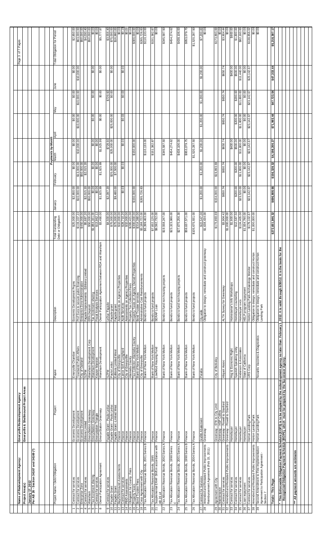|           | Name of Redevelopment Agency:                                                                   | Emeryville Redevelopment Agency                                                                                                                                                                                                   |                                                                                      |                                                                                                 |                                                                                                                                                                       |                                                               |                                                                              |                                 |                            |                        |                            | 7 Pages<br>$\rm \overline{o}$<br>Page 3                                                                                                                                                                                                                                                                                                                                                           |
|-----------|-------------------------------------------------------------------------------------------------|-----------------------------------------------------------------------------------------------------------------------------------------------------------------------------------------------------------------------------------|--------------------------------------------------------------------------------------|-------------------------------------------------------------------------------------------------|-----------------------------------------------------------------------------------------------------------------------------------------------------------------------|---------------------------------------------------------------|------------------------------------------------------------------------------|---------------------------------|----------------------------|------------------------|----------------------------|---------------------------------------------------------------------------------------------------------------------------------------------------------------------------------------------------------------------------------------------------------------------------------------------------------------------------------------------------------------------------------------------------|
|           | <b>Project Area(s)</b>                                                                          | Emeryville & Shellmound Project Areas                                                                                                                                                                                             |                                                                                      |                                                                                                 |                                                                                                                                                                       |                                                               |                                                                              |                                 |                            |                        |                            |                                                                                                                                                                                                                                                                                                                                                                                                   |
|           | January 17, 2012<br>Per AB 26 - Section 34167 and 34169 (*)                                     |                                                                                                                                                                                                                                   |                                                                                      |                                                                                                 |                                                                                                                                                                       |                                                               |                                                                              |                                 |                            |                        |                            |                                                                                                                                                                                                                                                                                                                                                                                                   |
|           |                                                                                                 |                                                                                                                                                                                                                                   |                                                                                      |                                                                                                 |                                                                                                                                                                       |                                                               |                                                                              | Payments by Month               |                            |                        |                            |                                                                                                                                                                                                                                                                                                                                                                                                   |
|           | Project Name / Debt Obligation                                                                  | Project                                                                                                                                                                                                                           | Payee                                                                                | Description                                                                                     | Total Outstanding<br>Debt or Obligation                                                                                                                               | January                                                       | March<br>February                                                            | April                           | Vay                        | June                   |                            | Period<br><b>Total Obligation for</b>                                                                                                                                                                                                                                                                                                                                                             |
|           | Contract for services                                                                           |                                                                                                                                                                                                                                   | Emeryville Chamber                                                                   | Economic Development Prgms                                                                      | \$25,000.00                                                                                                                                                           |                                                               |                                                                              |                                 |                            | \$0.00                 |                            |                                                                                                                                                                                                                                                                                                                                                                                                   |
|           | services<br>Contract for                                                                        | Economic Development                                                                                                                                                                                                              | Affairs                                                                              | financing                                                                                       |                                                                                                                                                                       | \$2,850.00<br>\$10,000.00                                     |                                                                              | \$0.00<br>\$10,000.00           | \$0.00<br>\$10,000.00      | \$10,000.00            | \$0.00<br>\$10,000.00      | \$2,850.00                                                                                                                                                                                                                                                                                                                                                                                        |
|           | Enterprise Zone                                                                                 | Economic Development<br>Economic Development                                                                                                                                                                                      | Townsend Public A                                                                    | Prof Svcs to secure pubic finar<br>Enterprise Zone Administration                               | \$119,337.22                                                                                                                                                          |                                                               | \$0.00<br>\$13,000.00<br>\$50,000.00<br>\$2,015.20                           |                                 |                            |                        |                            |                                                                                                                                                                                                                                                                                                                                                                                                   |
|           | Contract for services                                                                           | Editions Limited                                                                                                                                                                                                                  | Wareham Development Corp                                                             | Façade Improvements - Editions Limited                                                          | \$5,687.20                                                                                                                                                            | \$2,015.20                                                    |                                                                              |                                 |                            |                        |                            |                                                                                                                                                                                                                                                                                                                                                                                                   |
|           | Tax Increment sharing<br>Wareham                                                                |                                                                                                                                                                                                                                   | Wareham Development                                                                  | Tax Increment sharing<br>ERN Deposi                                                             |                                                                                                                                                                       | \$50,000.00                                                   |                                                                              |                                 | \$0.00                     | \$0.00                 | \$0.00                     |                                                                                                                                                                                                                                                                                                                                                                                                   |
|           | Contract for services<br>Owner Participation Agreement                                          | EmeryStation Greenway<br>EmeryStation Greenway<br>Emery/Station Greenway<br>Emery/Station Greenway                                                                                                                                | Keyser Marston<br>Wareham Development                                                | <b>IDA</b> and Wareham<br>Fiscal Analysis Services<br>Owner Participation Agreement between     | \$50,000.00<br>\$1,884,161.00<br>\$13,862.12<br>\$3,490.00                                                                                                            | $\begin{array}{r}\n 30.00 \\ 30.00 \\ 51,925.99\n\end{array}$ | $\begin{array}{r}\n 80.00 \\ \hline\n 80.00 \\ \hline\n 90.59\n \end{array}$ | $[0.00\n0.00\n0.00\n0.00$<br>ಕ್ | \$0.00                     | <b>SO.00</b>           | \$0.00                     | $\begin{array}{r} 868,000.00\\ 850,000.00\\ 84,030.00\\ 960,000.00\\ 80.00\\ 96,777.97\\ \end{array}$                                                                                                                                                                                                                                                                                             |
|           |                                                                                                 |                                                                                                                                                                                                                                   |                                                                                      |                                                                                                 |                                                                                                                                                                       |                                                               |                                                                              |                                 |                            |                        |                            |                                                                                                                                                                                                                                                                                                                                                                                                   |
|           | Contract for services<br>Façade Gran                                                            | Façade Grant - Paula Leduc<br>Façade Grant - Paula Leduc                                                                                                                                                                          | Paula Leduc<br>SZFM                                                                  | LeDuc Façade<br>Façade grant                                                                    | ,500.00<br>र्द्र                                                                                                                                                      | ε<br>\$2,097                                                  |                                                                              | \$729.60<br>\$25,000.00         | \$25,000.00                | 8<br>\$0.00<br>29<br>န | \$0.00                     | $\begin{tabular}{ c c } \hline $\textbf{83.556.40} \\\hline $\textbf{975.000.00} \\\hline $\textbf{96.380.00} \\\hline $\textbf{976.380.00} \\\hline $\textbf{90.08} \\\hline $\textbf{80.00} \\\hline $\textbf{80.00} \\\hline $\textbf{80.00} \\\hline $\textbf{80.00} \\\hline $\textbf{80.00} \\\hline $\textbf{80.00} \\\hline $\textbf{80.00} \\\hline $\textbf{80.00} \\\hline $\textbf{8$ |
|           | Façade Grant                                                                                    | Façade Grant -Limited West                                                                                                                                                                                                        | Editions Limited West                                                                | Façade grant                                                                                    |                                                                                                                                                                       | \$9,480.00                                                    | \$25,000.00                                                                  |                                 |                            |                        |                            |                                                                                                                                                                                                                                                                                                                                                                                                   |
|           | Bay/Shellmound Assessments<br>Contract for services                                             | Finance                                                                                                                                                                                                                           |                                                                                      | Assessments on Agency Properties<br>Audit Services                                              |                                                                                                                                                                       |                                                               |                                                                              |                                 |                            |                        |                            |                                                                                                                                                                                                                                                                                                                                                                                                   |
|           | <b>Contract for service</b><br>PBID Assessments                                                 | Finance<br>Finance                                                                                                                                                                                                                | City of Emeryville<br>Lance Soll & Lunghard<br>City of Emeryville<br> Alameda County | Assessments on Agency Properties                                                                | $\begin{array}{r} 8\,75,000.00\\ \bf 8\,75,000.00\\ \bf 9\,10,000.00\\ \bf 9\,28,7\,0.20\\ \bf 9\,32,000.00\\ \bf 9\,32,000.00\\ \bf 9\,28\,5,42\,1.00\\ \end{array}$ | \$0.03                                                        | \$0.03                                                                       | $\overline{c}$<br>န္တ           | ိ<br>င္တ                   | $\infty$<br>န္တ        | <sub>3</sub><br>န္တ        |                                                                                                                                                                                                                                                                                                                                                                                                   |
|           | Obligation for County Fees                                                                      | Finance                                                                                                                                                                                                                           |                                                                                      | Property Tax Collection Fees                                                                    |                                                                                                                                                                       |                                                               |                                                                              |                                 |                            |                        |                            |                                                                                                                                                                                                                                                                                                                                                                                                   |
|           | Property Taxe                                                                                   | Finance                                                                                                                                                                                                                           | Alameda County<br>Tax Collector,                                                     | .es<br>Property Taxes on Agency Owned Proper                                                    | \$300,000.00<br>\$314,380.00<br>\$3,188,722.00<br>\$6,399,463.00                                                                                                      | \$150,000.00                                                  |                                                                              | s<br>\$150,000                  |                            |                        |                            |                                                                                                                                                                                                                                                                                                                                                                                                   |
|           | <b>Bond Trustee Fees</b>                                                                        | Finance<br>Finance                                                                                                                                                                                                                | Bank of New York Mellon<br>City of Emeryville                                        | Adminstrative Cost Reimbursements<br>Bond Trustee services                                      |                                                                                                                                                                       | \$265,726.83                                                  |                                                                              |                                 |                            |                        |                            |                                                                                                                                                                                                                                                                                                                                                                                                   |
|           | Coop Agreement with City<br>Tax Allocation Revenue Bonds, 2001 Series B                         | Finance                                                                                                                                                                                                                           | Bank of New York Mellon                                                              | Bonds to fund projects                                                                          |                                                                                                                                                                       |                                                               |                                                                              | \$110,133.00                    |                            |                        |                            |                                                                                                                                                                                                                                                                                                                                                                                                   |
|           | Revenue Bonds, 1995<br>Tax Allocation                                                           | Finance                                                                                                                                                                                                                           | Bank of New York Mellor                                                              |                                                                                                 |                                                                                                                                                                       |                                                               |                                                                              | \$151,382.87                    |                            |                        |                            |                                                                                                                                                                                                                                                                                                                                                                                                   |
|           | Supplemental ERAF Shift in accordance with<br>AB 26 x4                                          | Finance                                                                                                                                                                                                                           | Low/Mod Housing Fund                                                                 | Bonds to fund projects<br>SERAF Loan                                                            | \$7,832,125.00<br>\$9,592,732.00                                                                                                                                      |                                                               |                                                                              |                                 |                            |                        |                            | \$151,382.87                                                                                                                                                                                                                                                                                                                                                                                      |
|           | Tax Allocation Revenue Bonds, 2002 Series A                                                     | Finance                                                                                                                                                                                                                           | Bank of New York Mellon                                                              | Bonds to fund non-housing projects                                                              | \$19,558,247.00                                                                                                                                                       |                                                               |                                                                              | \$345,587.50                    |                            |                        |                            | \$345,587.50                                                                                                                                                                                                                                                                                                                                                                                      |
|           | Tax Allocation Revenue Bonds, 1998 Series<br>ပ                                                  | Finance                                                                                                                                                                                                                           | Bank of New York Mellon                                                              | Bonds to fund projects                                                                          | \$23,323,986.00                                                                                                                                                       |                                                               |                                                                              | \$454,274.62                    |                            |                        |                            | \$454,274.62                                                                                                                                                                                                                                                                                                                                                                                      |
|           | Tax Allocation Revenue Bonds, 2001 Series A                                                     | Finance                                                                                                                                                                                                                           | Bank of New York Mellon                                                              | Bonds to fund non-housing projects                                                              | \$27,675,256.30                                                                                                                                                       |                                                               |                                                                              | \$438,106.00                    |                            |                        |                            | \$438,106.00                                                                                                                                                                                                                                                                                                                                                                                      |
|           | Tax Allocation Revenue Bonds, 1998 Series B                                                     | Finance                                                                                                                                                                                                                           | Bank of New York Mellon                                                              | Bonds to fund projects                                                                          | \$59,637,571.00                                                                                                                                                       |                                                               |                                                                              | \$953,079.75                    |                            |                        |                            | \$953,079.75                                                                                                                                                                                                                                                                                                                                                                                      |
|           | Tax Allocation Revenue Bonds, 2004 Series A                                                     | Finance                                                                                                                                                                                                                           | Bank of New York Mellon                                                              | Bonds to fund projects                                                                          | \$105,675,931.00                                                                                                                                                      |                                                               |                                                                              | \$1,520,287.50                  |                            |                        |                            | \$1,520,287.50                                                                                                                                                                                                                                                                                                                                                                                    |
|           | Contract for Services                                                                           |                                                                                                                                                                                                                                   | Peralta                                                                              |                                                                                                 |                                                                                                                                                                       | \$1,200.00                                                    | \$1,200.00                                                                   | \$1,200.00                      | \$1,200.00                 | \$1,200.00             | \$1,200.00                 |                                                                                                                                                                                                                                                                                                                                                                                                   |
|           | Amended and Restated Public Improvements<br>Reimbursement Agreement (Feb 15, 2011)              | Grafitti Abatement<br>Greenway                                                                                                                                                                                                    |                                                                                      | uct greenway<br>City wide<br>Obligation to design, remediate and const                          | \$22,547.00<br>\$1,638,434.00                                                                                                                                         |                                                               |                                                                              |                                 |                            |                        |                            | \$7,200.00<br>\$0.00                                                                                                                                                                                                                                                                                                                                                                              |
|           | Agreement with City<br>Vlaintenance                                                             | Greenway - 67th to City Limit<br>Greenway - HSP Collins<br>Greenway - Powell to Stanford<br>Greenway - Powell to Stanford<br>- 67th to City Limit<br>- HSP Collins                                                                | City of Berkeley                                                                     |                                                                                                 | 69<br>\$173,893.                                                                                                                                                      | g<br>\$154,000                                                | 69<br>\$19,893.                                                              |                                 |                            |                        |                            | \$173,893.6                                                                                                                                                                                                                                                                                                                                                                                       |
|           | Contract for services                                                                           |                                                                                                                                                                                                                                   | Aliquot Assoc                                                                        | ALTA Survey for Greenway                                                                        | \$1,000,000.00                                                                                                                                                        | \$650.74                                                      | \$650.74                                                                     | \$650.74                        | $\overline{.74}$<br>\$650. | \$650.74               | \$650.74                   |                                                                                                                                                                                                                                                                                                                                                                                                   |
|           | Amended and Restated Public Improvements<br>Contract for services                               | Homebuyer                                                                                                                                                                                                                         | Hsg & Economic Right                                                                 | Homeowner's Info Workshops                                                                      | \$1,600.00                                                                                                                                                            |                                                               |                                                                              | \$400.00                        |                            |                        | \$400.00                   | \$800.00                                                                                                                                                                                                                                                                                                                                                                                          |
|           | Contract for services                                                                           | Homebuyer                                                                                                                                                                                                                         | Spanish Speaking Unity                                                               | Homebuyer counseling                                                                            | \$12,587.50                                                                                                                                                           | \$200.00                                                      | \$200.00                                                                     | \$500.00                        | \$200.00                   | \$200.00               | \$500.00                   | \$1,800.00                                                                                                                                                                                                                                                                                                                                                                                        |
|           | Contract for services                                                                           | Homebuyer                                                                                                                                                                                                                         | Anderson & Associates                                                                | Homebuyer svcs                                                                                  | \$124,405.00                                                                                                                                                          | \$23,520.00                                                   | \$11,800.00                                                                  | \$11,800.00                     | \$11,800.00                | \$11,800.00            | \$11,440.00                | \$82,160.00                                                                                                                                                                                                                                                                                                                                                                                       |
|           | Loan repayment                                                                                  | Homebuyer                                                                                                                                                                                                                         | State of California                                                                  | HELP program repayment                                                                          | 00.062're6'L\$                                                                                                                                                        | \$0.00                                                        | \$0.00                                                                       | \$0.00                          | \$0.00                     | \$0.00                 | \$0.00                     | \$0.00                                                                                                                                                                                                                                                                                                                                                                                            |
|           | Amended and Restated Public Improvements<br>Contract for services                               | Horton Landing Park<br>Horton Landing Park                                                                                                                                                                                        | URS Corp                                                                             | Obligation to design, remediate and construct Horton<br>Horton Landing Park-Archaeology Monitor | \$179,102.67<br>\$1,000,000.00                                                                                                                                        | \$23,142.67                                                   | \$23,142.67                                                                  | \$23,142.67                     | \$23,142.67                | \$23,142.67            | \$23,142.67                | \$138,856.02<br>\$0.00                                                                                                                                                                                                                                                                                                                                                                            |
|           | Second Amendment to First Implementation<br>Agreement to Participation Agreement -<br>Section 7 | Horton Landing Park                                                                                                                                                                                                               | Novartis Vaccines & Diagnostics                                                      | uct Horton<br>Obligation to design, remediate and const<br>Landing Park                         |                                                                                                                                                                       |                                                               |                                                                              |                                 |                            |                        |                            | \$0.00                                                                                                                                                                                                                                                                                                                                                                                            |
|           | Totals - This Page                                                                              |                                                                                                                                                                                                                                   |                                                                                      |                                                                                                 | \$272,651,846.32                                                                                                                                                      | \$696,808.66                                                  | \$156,328.32                                                                 | \$4,198,200.27                  | \$71,993.44                | \$47,723.04            | $\frac{4}{3}$<br>\$47,333. | 218,387.17<br>အ                                                                                                                                                                                                                                                                                                                                                                                   |
|           |                                                                                                 |                                                                                                                                                                                                                                   |                                                                                      |                                                                                                 |                                                                                                                                                                       |                                                               |                                                                              |                                 |                            |                        |                            |                                                                                                                                                                                                                                                                                                                                                                                                   |
| --------- |                                                                                                 | This Enforceable Obligation Payment Schedule (EOPS) is to be adopted by the redevelopment agency no later than February 1, 2012. It is valid through 6/30/12.<br>Recognized Obligation Payment Schedule (ROPS), which must be pre |                                                                                      | £<br>e basis for<br>It is the                                                                   |                                                                                                                                                                       |                                                               |                                                                              |                                 |                            |                        |                            |                                                                                                                                                                                                                                                                                                                                                                                                   |
|           |                                                                                                 |                                                                                                                                                                                                                                   |                                                                                      |                                                                                                 |                                                                                                                                                                       |                                                               |                                                                              |                                 |                            |                        |                            |                                                                                                                                                                                                                                                                                                                                                                                                   |
|           | *** All payment amounts are estimates                                                           |                                                                                                                                                                                                                                   |                                                                                      |                                                                                                 |                                                                                                                                                                       |                                                               |                                                                              |                                 |                            |                        |                            |                                                                                                                                                                                                                                                                                                                                                                                                   |
|           |                                                                                                 |                                                                                                                                                                                                                                   |                                                                                      |                                                                                                 |                                                                                                                                                                       |                                                               |                                                                              |                                 |                            |                        |                            |                                                                                                                                                                                                                                                                                                                                                                                                   |
|           |                                                                                                 |                                                                                                                                                                                                                                   |                                                                                      |                                                                                                 |                                                                                                                                                                       |                                                               |                                                                              |                                 |                            |                        |                            |                                                                                                                                                                                                                                                                                                                                                                                                   |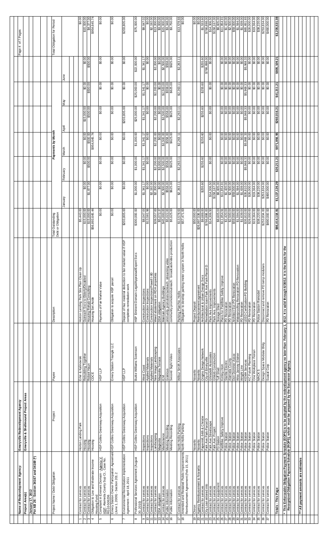|                                                                                     | Name of Redevelopment Agency:                                                                               | Emeryville Redevelopment Agency                                                                                                                                                                                                   |                                                      |                                                                                                                              |                                                                                                                                                                                                                                                           |                                                                                                                         |                                                                                                                                |                                                                                                                                                                                                                                        |                                                                                                                                                                                                                                                                                                           |                                |                                                                                                                                                                                                                                                                                                                                                                     | Page 4 of 7 Pages                                                                                                                                                                                                                 |
|-------------------------------------------------------------------------------------|-------------------------------------------------------------------------------------------------------------|-----------------------------------------------------------------------------------------------------------------------------------------------------------------------------------------------------------------------------------|------------------------------------------------------|------------------------------------------------------------------------------------------------------------------------------|-----------------------------------------------------------------------------------------------------------------------------------------------------------------------------------------------------------------------------------------------------------|-------------------------------------------------------------------------------------------------------------------------|--------------------------------------------------------------------------------------------------------------------------------|----------------------------------------------------------------------------------------------------------------------------------------------------------------------------------------------------------------------------------------|-----------------------------------------------------------------------------------------------------------------------------------------------------------------------------------------------------------------------------------------------------------------------------------------------------------|--------------------------------|---------------------------------------------------------------------------------------------------------------------------------------------------------------------------------------------------------------------------------------------------------------------------------------------------------------------------------------------------------------------|-----------------------------------------------------------------------------------------------------------------------------------------------------------------------------------------------------------------------------------|
|                                                                                     | Project Area(s)                                                                                             | Emeryville & Shellmound Project Areas                                                                                                                                                                                             |                                                      |                                                                                                                              |                                                                                                                                                                                                                                                           |                                                                                                                         |                                                                                                                                |                                                                                                                                                                                                                                        |                                                                                                                                                                                                                                                                                                           |                                |                                                                                                                                                                                                                                                                                                                                                                     |                                                                                                                                                                                                                                   |
|                                                                                     | 2012<br>Section 34167 and 34169 (*)<br>January 17, 2<br>Per AB 26 - S                                       |                                                                                                                                                                                                                                   |                                                      |                                                                                                                              |                                                                                                                                                                                                                                                           |                                                                                                                         |                                                                                                                                |                                                                                                                                                                                                                                        |                                                                                                                                                                                                                                                                                                           |                                |                                                                                                                                                                                                                                                                                                                                                                     |                                                                                                                                                                                                                                   |
|                                                                                     |                                                                                                             |                                                                                                                                                                                                                                   |                                                      |                                                                                                                              |                                                                                                                                                                                                                                                           |                                                                                                                         |                                                                                                                                |                                                                                                                                                                                                                                        |                                                                                                                                                                                                                                                                                                           |                                |                                                                                                                                                                                                                                                                                                                                                                     |                                                                                                                                                                                                                                   |
|                                                                                     | Project Name / Debt Obligation                                                                              | Project                                                                                                                                                                                                                           | Payee                                                | Description                                                                                                                  | Total Outstanding<br>Debt or Obligation                                                                                                                                                                                                                   |                                                                                                                         |                                                                                                                                | Payments by Month                                                                                                                                                                                                                      |                                                                                                                                                                                                                                                                                                           |                                |                                                                                                                                                                                                                                                                                                                                                                     | <b>Total Obligation for Period</b>                                                                                                                                                                                                |
|                                                                                     |                                                                                                             |                                                                                                                                                                                                                                   |                                                      |                                                                                                                              | January                                                                                                                                                                                                                                                   |                                                                                                                         | March<br>February                                                                                                              | April                                                                                                                                                                                                                                  |                                                                                                                                                                                                                                                                                                           | $\overline{\text{M}}$          | June                                                                                                                                                                                                                                                                                                                                                                |                                                                                                                                                                                                                                   |
|                                                                                     |                                                                                                             |                                                                                                                                                                                                                                   | Erler & Kalinowski                                   | Horton Landing Park Site Plan Clean Up                                                                                       | \$5,443.00                                                                                                                                                                                                                                                |                                                                                                                         |                                                                                                                                |                                                                                                                                                                                                                                        |                                                                                                                                                                                                                                                                                                           |                                |                                                                                                                                                                                                                                                                                                                                                                     | \$0.00                                                                                                                                                                                                                            |
| 2                                                                                   | services<br>services<br>Contract for<br>Contract for                                                        | Horton Landing Park<br>Housing                                                                                                                                                                                                    | Rebuilding Together                                  | Outreach Svcs to Elderly/Disabled                                                                                            |                                                                                                                                                                                                                                                           |                                                                                                                         | \$0.00                                                                                                                         | \$0.00                                                                                                                                                                                                                                 | \$15,000.00                                                                                                                                                                                                                                                                                               |                                | \$0.00                                                                                                                                                                                                                                                                                                                                                              | \$15,000.00                                                                                                                                                                                                                       |
| 4<br>w                                                                              | Low and Moderate Income<br>services<br>Obligation to Lo<br>Housing Fund<br>Contract for                     | Housing<br>Housing                                                                                                                                                                                                                | Robert Haun<br>CDCE                                  | Housing Rehab Consulting<br>Housing Set Aside                                                                                | \$15,000.00<br>\$15,000.00<br>\$56,893,645.44                                                                                                                                                                                                             | 007728'L\$                                                                                                              | \$500.00                                                                                                                       | \$500.00<br>\$954,645.74                                                                                                                                                                                                               | \$500.00                                                                                                                                                                                                                                                                                                  | \$00.00                        | \$500.00                                                                                                                                                                                                                                                                                                                                                            | ဒ<br>\$954,645.<br>∞ี<br>₩                                                                                                                                                                                                        |
| 5                                                                                   |                                                                                                             |                                                                                                                                                                                                                                   | d11 dSH                                              | Payment of Fair Market Value                                                                                                 | \$0.00                                                                                                                                                                                                                                                    | \$0.00                                                                                                                  | \$0.00                                                                                                                         | \$0.00                                                                                                                                                                                                                                 | \$0.00                                                                                                                                                                                                                                                                                                    | \$0.00                         | \$0.00                                                                                                                                                                                                                                                                                                                                                              | \$0.00                                                                                                                                                                                                                            |
| 6                                                                                   |                                                                                                             |                                                                                                                                                                                                                                   | Emery Station Triangle LLC                           | Obligation to acquire HSP parcel                                                                                             | \$0.00                                                                                                                                                                                                                                                    | \$0.00                                                                                                                  | \$0.00                                                                                                                         | \$0.00                                                                                                                                                                                                                                 | \$0.00                                                                                                                                                                                                                                                                                                    | \$0.00                         | \$0.00                                                                                                                                                                                                                                                                                                                                                              | \$0.00                                                                                                                                                                                                                            |
| N                                                                                   | Environmental Remediation Implementation<br>Agreement - April 18, 2011                                      | HSP Collins Greenway Acquisition                                                                                                                                                                                                  | HSP LLP                                              | Deposit of haz material deduction to fair market value if HSP<br>completes remediation work                                  | \$203,805.00                                                                                                                                                                                                                                              | \$0.00                                                                                                                  | \$0.00                                                                                                                         | \$0.00                                                                                                                                                                                                                                 | \$203,805.00                                                                                                                                                                                                                                                                                              | \$0.00                         | \$0.00                                                                                                                                                                                                                                                                                                                                                              | \$203,805.00                                                                                                                                                                                                                      |
| $\infty$                                                                            | Services Agreement (August<br>Professional<br>30, 2010)                                                     | HSP Collins Greenway Acquisition                                                                                                                                                                                                  | Burke Williams Sorenson                              | g<br>б<br>HSP Eminent Domain-Legal/Appraisal/Expert                                                                          | \$300,000.00                                                                                                                                                                                                                                              | \$1,000.00                                                                                                              | 00.000,1\$                                                                                                                     | \$1,000.00                                                                                                                                                                                                                             | \$25,000.00                                                                                                                                                                                                                                                                                               | \$25,000.00                    | \$22,000.00                                                                                                                                                                                                                                                                                                                                                         | \$75,000.00                                                                                                                                                                                                                       |
| $\circ$                                                                             | services<br>Contract for<br>Contract for :                                                                  | Inspections                                                                                                                                                                                                                       |                                                      |                                                                                                                              | \$8,047.00<br>\$13,581.96                                                                                                                                                                                                                                 |                                                                                                                         | $\frac{341.17}{\$0.00}$<br>る                                                                                                   | \$1,341.17<br>\$0.00                                                                                                                                                                                                                   | $\frac{341.17}{$0.00}$<br>$\overline{\mathfrak{s}}$                                                                                                                                                                                                                                                       | $$1,341.17$<br>$$0.00$         | $\frac{341.17}{\$0.00}$<br>$\overline{\mathfrak{s}}$                                                                                                                                                                                                                                                                                                                |                                                                                                                                                                                                                                   |
| $\overline{a}$                                                                      | services<br>Contract for                                                                                    | Inspections<br>Inspections                                                                                                                                                                                                        | West Coast<br>Applied Materials<br>Applied Materials | Construction Inspections<br>Construction Inspections<br>Weed abatement on RDA properties<br>Weed abatement on RDA properties |                                                                                                                                                                                                                                                           | $\begin{array}{r}\n 1,341.17 \\ \hline\n 30.00 \\ \hline\n 42,192.00 \\ \hline\n 50.00 \\ \hline\n 50.00\n \end{array}$ |                                                                                                                                |                                                                                                                                                                                                                                        |                                                                                                                                                                                                                                                                                                           |                                |                                                                                                                                                                                                                                                                                                                                                                     |                                                                                                                                                                                                                                   |
| $\frac{1}{2}$                                                                       | services<br>Contract for                                                                                    | Landscaping                                                                                                                                                                                                                       | New Image Landscaping                                |                                                                                                                              |                                                                                                                                                                                                                                                           |                                                                                                                         |                                                                                                                                | \$2,200.00                                                                                                                                                                                                                             | \$2,200.00                                                                                                                                                                                                                                                                                                | \$2,200.00                     | \$2,200.00                                                                                                                                                                                                                                                                                                                                                          |                                                                                                                                                                                                                                   |
| $\frac{4}{4}$<br>$\frac{3}{2}$                                                      | services<br>g<br>DDA obligati<br>Contract for                                                               | Maintenance<br>Magnolia                                                                                                                                                                                                           | Magnolia Terrace<br>ICM                              | Maintain Agency Buildings<br>DDA obligation                                                                                  | $\begin{array}{r} 839,557.00\\ 85,072.37\\ 845,000.00\\ 85,022.00\\ 85,625.00 \end{array}$                                                                                                                                                                | \$2,500.00                                                                                                              | $\begin{array}{r} 62,200.00 \\ 63,000.00 \\ 62,500.00 \\ 6588.00 \\ 6685.00 \\ \end{array}$                                    | $[2,500.003558.003583.00$                                                                                                                                                                                                              | $[50.00\n$2,500.00\n$558.00\n$625.00$                                                                                                                                                                                                                                                                     | \$2,500.00<br>\$0.00           | \$0.00<br>\$2,500.00<br>\$558.00                                                                                                                                                                                                                                                                                                                                    | $\begin{array}{r l} \hline \textbf{88,047.02} \\\hline \textbf{80.00} \\\hline \textbf{82,192.00} \\\hline \textbf{813,200.00} \\\hline \textbf{813,000.00} \\\hline \textbf{815,000.00} \\\hline \textbf{83,348.00} \end{array}$ |
| $\frac{15}{2}$                                                                      | Public Information                                                                                          | Meeting Recording                                                                                                                                                                                                                 | Granicus                                             | ommunity promotion/outreach: streaming video                                                                                 |                                                                                                                                                                                                                                                           |                                                                                                                         |                                                                                                                                |                                                                                                                                                                                                                                        |                                                                                                                                                                                                                                                                                                           | \$558.00                       |                                                                                                                                                                                                                                                                                                                                                                     |                                                                                                                                                                                                                                   |
| $\frac{6}{5}$                                                                       | nation<br>Public Inform                                                                                     | Meeting Recording                                                                                                                                                                                                                 | Second Sight Video                                   | production<br>community promotion/outreach: broadcast/video                                                                  |                                                                                                                                                                                                                                                           | \$558.00                                                                                                                |                                                                                                                                |                                                                                                                                                                                                                                        |                                                                                                                                                                                                                                                                                                           |                                | \$625.00                                                                                                                                                                                                                                                                                                                                                            |                                                                                                                                                                                                                                   |
| $\frac{8}{1}$<br>$\overline{1}$                                                     | Contract for services<br>Amended and Restated Public Improvements<br>Reimbursement Agreement (Feb 15, 2011) | North Hollis Parking<br>North Hollis Parking                                                                                                                                                                                      | Wilbur Smith Associates                              | arth Hollis<br>Parking Plan/No. Hollis<br>Obligation to develop parking meter system in Nc                                   | \$13,578.63<br>\$57,471.00                                                                                                                                                                                                                                | \$2,263.1                                                                                                               | \$2,263.11                                                                                                                     | \$2,263.                                                                                                                                                                                                                               | \$2,263,11                                                                                                                                                                                                                                                                                                | \$2,263.11                     | \$2,263.11                                                                                                                                                                                                                                                                                                                                                          | \$13,578.66<br>\$0.00                                                                                                                                                                                                             |
| $\frac{0}{2}$                                                                       | Chiron                                                                                                      | Novartis                                                                                                                                                                                                                          | Novartis                                             | Project Deposit                                                                                                              |                                                                                                                                                                                                                                                           |                                                                                                                         |                                                                                                                                |                                                                                                                                                                                                                                        |                                                                                                                                                                                                                                                                                                           |                                |                                                                                                                                                                                                                                                                                                                                                                     |                                                                                                                                                                                                                                   |
| 20                                                                                  | Agency Reimbursement to Novartis<br>services<br>Contract for                                                | Papermill, 64th & Christie<br>Novartis                                                                                                                                                                                            | Origins Design Network<br>Novartis                   | Reimbursement agreement                                                                                                      | 00 1868'992'2<br> 00 1959'266'97\$<br> 00 1909'058                                                                                                                                                                                                        | \$255.60                                                                                                                | \$255.60                                                                                                                       | \$255.60                                                                                                                                                                                                                               | \$255.60                                                                                                                                                                                                                                                                                                  | \$255.60                       |                                                                                                                                                                                                                                                                                                                                                                     |                                                                                                                                                                                                                                   |
| $\frac{2}{2}$                                                                       | Sephues Journacy<br>Courtact for services                                                                   | Park Ave Park-Parcel D                                                                                                                                                                                                            | City of Emeryville                                   | Architectural & Urban Design Svcs<br>Remediation Ioan-Park Ave Park-Parcel D                                                 |                                                                                                                                                                                                                                                           |                                                                                                                         |                                                                                                                                |                                                                                                                                                                                                                                        |                                                                                                                                                                                                                                                                                                           |                                | \$766,898.00                                                                                                                                                                                                                                                                                                                                                        |                                                                                                                                                                                                                                   |
|                                                                                     | services                                                                                                    | Park Ave Streetscape                                                                                                                                                                                                              | Ghiradelli Associates<br>Ghilotti Construction       | Park Ave Improvements                                                                                                        | \$14,306.50                                                                                                                                                                                                                                               | 50<br>\$14,306.                                                                                                         | \$0.00                                                                                                                         | O.<br>င္တ                                                                                                                                                                                                                              | $\infty$<br>$\overline{\mathfrak{g}}$                                                                                                                                                                                                                                                                     | 8<br>$\boldsymbol{\mathsf{S}}$ | \$0.00                                                                                                                                                                                                                                                                                                                                                              |                                                                                                                                                                                                                                   |
|                                                                                     |                                                                                                             |                                                                                                                                                                                                                                   | Tuff Shed                                            |                                                                                                                              |                                                                                                                                                                                                                                                           |                                                                                                                         |                                                                                                                                |                                                                                                                                                                                                                                        |                                                                                                                                                                                                                                                                                                           |                                |                                                                                                                                                                                                                                                                                                                                                                     |                                                                                                                                                                                                                                   |
|                                                                                     | equipment<br>services<br>services                                                                           | Park Ave. Project<br>PD Station<br>Ped/Bike Safety Improve<br>Police Station                                                                                                                                                      | Kimley-Horn<br>Starlite Electric                     | Park Ave. Improvements<br> Storage Shed<br> PD Renovation<br> PD Renovation                                                  |                                                                                                                                                                                                                                                           |                                                                                                                         |                                                                                                                                |                                                                                                                                                                                                                                        |                                                                                                                                                                                                                                                                                                           |                                |                                                                                                                                                                                                                                                                                                                                                                     |                                                                                                                                                                                                                                   |
| $\frac{a}{a}$ $\frac{a}{a}$ $\frac{a}{a}$ $\frac{a}{a}$ $\frac{a}{a}$ $\frac{a}{a}$ | services<br>Contract for s<br>Contract for s<br>Contract for s<br>Contract for s<br>Contract for s          | Police Station<br>Police Station<br>Police Station                                                                                                                                                                                | Alameda County                                       | PD Renovation<br>Architect Svc-PD Renovation                                                                                 | $\begin{array}{r l} & 88.605.00\\ \hline 911.854.91\\ \hline 91.420.00\\ \hline 92.500.00\\ \hline 959.000.00\\ \hline 91.594.00\\ \hline 91.639.00\\ \hline 935.810.00\\ \hline 925.810.00\\ \hline 925.810.00\\ \hline 925.810.00\\ \hline \end{array}$ | \$158,167.00<br>\$8,605.00<br>\$1,854.91<br>\$1,500.00<br>\$9,584.00<br>\$1,594.00                                      | $\begin{array}{ l } \hline \hline 0 & 0 & 0 & 0 \\ \hline 0 & 0 & 0 & 0 & 0 \\ \hline 0 & 0 & 0 & 0 & 0 \\ \hline \end{array}$ | $\begin{array}{ l l l } \hline \text{9000} & \text{9000} \\ \hline \text{9000} & \text{9000} \\ \text{9000} & \text{9000} \\ \text{9000} & \text{9000} \\ \text{9000} & \text{9000} \\ \text{9000} & \text{900} \\ \hline \end{array}$ | $\begin{array}{ l l } \hline {\color{red} $60.00$} \\ \hline {\color{red} $60.00$} \\ \hline {\color{red} $60.00$} \\ \hline {\color{red} $60.00$} \\ \hline {\color{red} $60.00$} \\ \hline {\color{red} $60.00$} \\ \hline {\color{red} $60.00$} \\ \hline {\color{red} $60.00$} \\ \hline \end{array}$ | $\frac{1}{9999999999}$         | $\begin{array}{ c c c c c } \hline & {\color{red} 60.00} \\ {\color{red} 60.00} \\ {\color{red} 60.00} \\ {\color{red} 60.00} \\ {\color{red} 60.00} \\ {\color{red} 60.00} \\ {\color{red} 60.00} \\ {\color{red} 60.00} \\ {\color{red} 60.00} \\ {\color{red} 60.00} \\ {\color{red} 60.00} \\ {\color{red} 60.00} \\ {\color{red} 60.00} \\ \hline \end{array}$ |                                                                                                                                                                                                                                   |
|                                                                                     | services                                                                                                    |                                                                                                                                                                                                                                   | Don Dommer Assoc<br>Wiss Janney Elstner              |                                                                                                                              |                                                                                                                                                                                                                                                           |                                                                                                                         |                                                                                                                                |                                                                                                                                                                                                                                        |                                                                                                                                                                                                                                                                                                           |                                |                                                                                                                                                                                                                                                                                                                                                                     |                                                                                                                                                                                                                                   |
| 51                                                                                  | services<br>Contract for s                                                                                  | Police Station                                                                                                                                                                                                                    | Wright Line                                          | Waterproofing Renovation-PD Renovation<br>PD Renovation                                                                      |                                                                                                                                                                                                                                                           | \$1,639.00                                                                                                              |                                                                                                                                |                                                                                                                                                                                                                                        |                                                                                                                                                                                                                                                                                                           |                                |                                                                                                                                                                                                                                                                                                                                                                     |                                                                                                                                                                                                                                   |
| $\frac{8}{3}$                                                                       | services<br>Contract for<br>Contract for                                                                    | Police Station<br>Police Station                                                                                                                                                                                                  | KC Future Planning<br><b>KEMA</b> Services           | LEED Certification-PD Building<br>PD Renovation                                                                              |                                                                                                                                                                                                                                                           | \$35,810.00<br>\$26,000.00                                                                                              | \$0.00<br>\$5,968.33<br>\$0.00                                                                                                 |                                                                                                                                                                                                                                        |                                                                                                                                                                                                                                                                                                           | \$0.00<br>\$5,968.33<br>\$0.00 |                                                                                                                                                                                                                                                                                                                                                                     |                                                                                                                                                                                                                                   |
| 34                                                                                  | services<br>services<br>Contract for                                                                        | Police Station                                                                                                                                                                                                                    | One Workplace Ferrari                                | PD Renovation                                                                                                                | \$19,364.00                                                                                                                                                                                                                                               | \$19,364.00                                                                                                             | \$0.00                                                                                                                         | \$0.00                                                                                                                                                                                                                                 | \$0.00                                                                                                                                                                                                                                                                                                    | \$0.00                         |                                                                                                                                                                                                                                                                                                                                                                     | \$19,364.00                                                                                                                                                                                                                       |
| 35                                                                                  | services<br>Contract for                                                                                    | Police Station                                                                                                                                                                                                                    | MACK <sub>5</sub>                                    | Police Station Remodel                                                                                                       | \$38,220.00                                                                                                                                                                                                                                               | \$38,220.00                                                                                                             | \$0.00                                                                                                                         |                                                                                                                                                                                                                                        |                                                                                                                                                                                                                                                                                                           |                                |                                                                                                                                                                                                                                                                                                                                                                     | \$38,220.00                                                                                                                                                                                                                       |
| 36                                                                                  | services<br>Contract for<br>Contract for                                                                    | Police Station                                                                                                                                                                                                                    | Design Space Modular Bldg                            | Disconnect and remove PD temp modulars                                                                                       | \$253,834.00<br>\$490,000.00                                                                                                                                                                                                                              | \$253,834.00                                                                                                            | \$0.00                                                                                                                         |                                                                                                                                                                                                                                        | $\frac{60.00}{60.00}$                                                                                                                                                                                                                                                                                     | $60.00$<br>$60.00$<br>$60.00$  |                                                                                                                                                                                                                                                                                                                                                                     | \$253,834.00<br>\$490,000.00                                                                                                                                                                                                      |
| 57                                                                                  | services                                                                                                    | Police Station                                                                                                                                                                                                                    | Suasal Corp                                          | PD Renovation                                                                                                                |                                                                                                                                                                                                                                                           | \$490,000.00                                                                                                            |                                                                                                                                |                                                                                                                                                                                                                                        |                                                                                                                                                                                                                                                                                                           |                                |                                                                                                                                                                                                                                                                                                                                                                     |                                                                                                                                                                                                                                   |
|                                                                                     | <b>Totals - This Page</b>                                                                                   |                                                                                                                                                                                                                                   |                                                      |                                                                                                                              | \$86,414,118.81                                                                                                                                                                                                                                           | \$1,137,126.29                                                                                                          | \$20,211.21                                                                                                                    | \$971,856.95                                                                                                                                                                                                                           | \$260,016.21                                                                                                                                                                                                                                                                                              | \$41,211.21                    | \$805,109.21                                                                                                                                                                                                                                                                                                                                                        | \$3,235,531.08                                                                                                                                                                                                                    |
|                                                                                     |                                                                                                             | This Enforceable Obligation Payment Schedule (EOPS) is to be adopted by the redevelopment agency no later than February 1, 2012. It is valid through 6/30/12. It is the basis<br>Recognized Obligation Payment Schedule (ROPS), w |                                                      | for the                                                                                                                      |                                                                                                                                                                                                                                                           |                                                                                                                         |                                                                                                                                |                                                                                                                                                                                                                                        |                                                                                                                                                                                                                                                                                                           |                                |                                                                                                                                                                                                                                                                                                                                                                     |                                                                                                                                                                                                                                   |
|                                                                                     |                                                                                                             |                                                                                                                                                                                                                                   |                                                      |                                                                                                                              |                                                                                                                                                                                                                                                           |                                                                                                                         |                                                                                                                                |                                                                                                                                                                                                                                        |                                                                                                                                                                                                                                                                                                           |                                |                                                                                                                                                                                                                                                                                                                                                                     |                                                                                                                                                                                                                                   |
|                                                                                     | ent amounts are estimates<br>All payme ***                                                                  |                                                                                                                                                                                                                                   |                                                      |                                                                                                                              |                                                                                                                                                                                                                                                           |                                                                                                                         |                                                                                                                                |                                                                                                                                                                                                                                        |                                                                                                                                                                                                                                                                                                           |                                |                                                                                                                                                                                                                                                                                                                                                                     |                                                                                                                                                                                                                                   |
|                                                                                     |                                                                                                             |                                                                                                                                                                                                                                   |                                                      |                                                                                                                              |                                                                                                                                                                                                                                                           |                                                                                                                         |                                                                                                                                |                                                                                                                                                                                                                                        |                                                                                                                                                                                                                                                                                                           |                                |                                                                                                                                                                                                                                                                                                                                                                     |                                                                                                                                                                                                                                   |
|                                                                                     |                                                                                                             |                                                                                                                                                                                                                                   |                                                      |                                                                                                                              |                                                                                                                                                                                                                                                           |                                                                                                                         |                                                                                                                                |                                                                                                                                                                                                                                        |                                                                                                                                                                                                                                                                                                           |                                |                                                                                                                                                                                                                                                                                                                                                                     |                                                                                                                                                                                                                                   |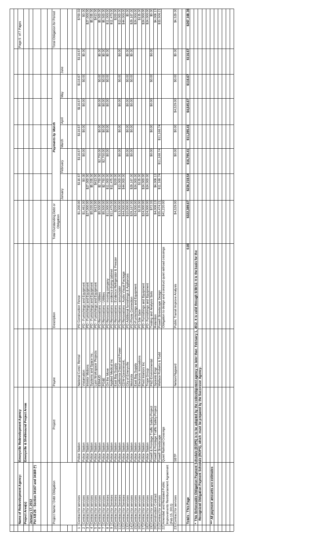| Name of Redevelopment Agency:                                                                      | Emeryville Redevelopment Agency                                                               |                                                   |                                                                                                                                                                                         |                                         |                        |                   |                   |            |          |          | Page 5 of 7 Pages                  |
|----------------------------------------------------------------------------------------------------|-----------------------------------------------------------------------------------------------|---------------------------------------------------|-----------------------------------------------------------------------------------------------------------------------------------------------------------------------------------------|-----------------------------------------|------------------------|-------------------|-------------------|------------|----------|----------|------------------------------------|
| Project Area(s)                                                                                    | Emeryville & Shellmound Project Areas                                                         |                                                   |                                                                                                                                                                                         |                                         |                        |                   |                   |            |          |          |                                    |
| January 17, 2012                                                                                   |                                                                                               |                                                   |                                                                                                                                                                                         |                                         |                        |                   |                   |            |          |          |                                    |
| 67 and 34169 (*)<br>Per AB 26 - Section 3416                                                       |                                                                                               |                                                   |                                                                                                                                                                                         |                                         |                        |                   |                   |            |          |          |                                    |
|                                                                                                    |                                                                                               |                                                   |                                                                                                                                                                                         |                                         |                        |                   |                   |            |          |          |                                    |
| noitia<br>Project Name / Debt Oblig                                                                | Project                                                                                       | Payee                                             | Description                                                                                                                                                                             | Total Outstanding Debt or<br>Obligation |                        |                   | Payments by Month |            |          |          | <b>Total Obligation for Period</b> |
|                                                                                                    |                                                                                               |                                                   |                                                                                                                                                                                         |                                         | January                | March<br>February | April             | Nay        |          | June     |                                    |
| Contract for services                                                                              | Police Station                                                                                | National Const. Renta                             | PD Construction Fence                                                                                                                                                                   | \$1,200.00                              | \$116.67               | \$116.67          | \$116.67          | \$116.67   | \$116.67 | \$116.67 | \$700.02                           |
| Contract for services<br>$\sim$                                                                    | Police Station                                                                                | Vistamation                                       | PD - Furnishings and Equipment                                                                                                                                                          | \$1,461.00                              | \$0.00                 | \$0.00            | \$0.00            | \$0.00     | \$0.00   | \$0.00   | \$0.00                             |
| Contract for services<br>$\infty$                                                                  | Police Station                                                                                | <b>Interior Motions</b>                           | PD - Furnishings and Equipment                                                                                                                                                          | \$27,000.00                             | \$27,000.00            |                   |                   |            |          |          | \$27,000.00                        |
| Contract for services<br>Contract for services<br>4<br>40                                          | Police Station<br>Police Station                                                              | Lyon Workspace Projects<br>Systems and Space Inc. | PD - Furnishings and Equipment<br>PD - Furnishings and Equipment                                                                                                                        | \$5,035.00<br>\$413.00                  | \$5,035.00<br>\$413.00 |                   |                   |            |          |          | \$5,035.00<br><b>\$413.0</b>       |
| Contract for services<br>G                                                                         | Police Station                                                                                | EBMUD                                             | PD Renovations - Utilities                                                                                                                                                              | \$5,500.00                              | \$2,750.00             | \$2,750.00        | \$0.00            | \$0.00     | \$0.00   | \$0.00   | \$5,500.00                         |
| Contract for services                                                                              | Police Station                                                                                | <b>PG&amp;E</b>                                   | PD Renovations - Utilities                                                                                                                                                              | \$5,500.00                              | \$2,750.00             | \$2,750.00        | \$0.00            | \$0.00     | \$0.00   | \$0.00   | \$5,500.00                         |
| Contract for Services<br>∞                                                                         | Police Station                                                                                | On the Move                                       | PD Renovations - moving company                                                                                                                                                         | \$11,000.00                             | \$11,000.00            | \$0.00            | \$0.00            | \$0.00     | \$0.00   | \$0.00   | \$11,000.0                         |
| <b>Contract for Services</b><br>တ                                                                  | Police Station                                                                                | Applied Medical Inc                               | PD Renovations - evidence drying cabinet                                                                                                                                                | \$11,475.00                             | \$11,475.00            |                   |                   |            |          |          | \$11,475.00                        |
| Contract for Services<br>$\tilde{c}$                                                               | Police Station                                                                                | East Bay Supply                                   | PD Renovations - Evidence Refrigerator & Freezer                                                                                                                                        | \$200.00                                | \$200.00               |                   |                   |            |          |          | \$200.00                           |
| 12 Contract for Services<br>Contract for Services<br>$\tilde{=}$                                   | Police Station<br>Police Station                                                              | California Diesel and Power<br>CDW-Government     | PD Renovations - Audio Visual Package<br>PD Renovations - annunciator                                                                                                                   | \$13,000.00                             | \$13,000.00            | \$0.00            | \$0.00            | \$0.00     | \$0.00   | \$0.00   | \$13,000.00                        |
| Contract for services<br>$\frac{3}{2}$                                                             | Police Station                                                                                | City of Emeryville                                | PD Additional furnishings & Appliances                                                                                                                                                  | \$44,000.00<br>\$10,000.00              |                        | \$0.00            | \$0.00            | \$0.00     | \$0.00   | \$0.00   | \$44,000.00<br>$rac{0}{2}$         |
| 14 Contract for services                                                                           | Police Station                                                                                | Motorola                                          | PD Phone Connection                                                                                                                                                                     | \$29,167.00                             | \$29,167.00            | \$0.00            | \$0.00            | \$0.00     | \$0.00   | \$0.00   | \$29,167.00                        |
| 15 Contract for services                                                                           | Police Station                                                                                | East Bay Supply                                   | PD-Furnishings and Equipment                                                                                                                                                            | \$24,000.00                             | \$24,000.00            |                   |                   |            |          |          | \$24,000.00                        |
| Contract for services<br>$\frac{6}{2}$                                                             | Police Station                                                                                | Electronic Innovations                            | PD Site Gate                                                                                                                                                                            | \$135.00                                | \$135.00               |                   |                   |            |          |          | \$135.00                           |
| 17 Contract for services                                                                           | Police Station                                                                                | Pivot Interiors Inc                               | PD-Furnishings and Equipment                                                                                                                                                            | \$24,000.00                             | \$24,000.00            |                   |                   |            |          |          | \$24,000.00                        |
| Contract for services<br>$\frac{8}{2}$                                                             | Police Station                                                                                | Trope Group                                       | PD-Furnishings and Equipment                                                                                                                                                            | \$24,000.00                             | \$24,000.00            |                   |                   |            |          |          | \$24,000.00                        |
| 20 Construction Contract<br>Contract for services<br><b>o</b>                                      | Powell & Frontage Traffic Safety Project<br>Powell & Frontage Traffic Safety Project          | P&D Environmental<br>Sposeto Engr                 | Testing and Analysis Soils<br>Retention                                                                                                                                                 | \$4,008.13<br>\$72.33                   | \$4,008.13             | \$0.00            | \$0.00            | \$0.00     | \$0.00   | \$0.00   | \$4,008.13<br>\$0.00               |
| Contract for services<br>21                                                                        | Powell Streetscape                                                                            | Wallace Roberts & Todd                            | Powell Streetscape Design                                                                                                                                                               | \$35,474.21                             | \$11,168.74            | \$11,168.74       | \$11,168.74       |            |          |          | \$33,506.2                         |
| Improvements Reimbursement Agreement<br>Amended and Restated Public<br>(Feb 15, 2011)<br>$\approx$ | Quiet Railroad Crossings                                                                      |                                                   | Obligation to design and construct quiet railroad crossings                                                                                                                             | \$41,220.00                             |                        |                   |                   |            |          |          |                                    |
| Contract for services<br>23                                                                        | <b>SBTP</b>                                                                                   | Nelson/Nygaard                                    | Public Transit Improve Analysis                                                                                                                                                         | \$4,529.00                              |                        | 80.00             | \$0.00            | \$4,529.00 | \$0.00   | \$0.00   | \$4,529.00                         |
|                                                                                                    |                                                                                               |                                                   |                                                                                                                                                                                         |                                         |                        |                   |                   |            |          |          |                                    |
| <b>Totals - This Page</b>                                                                          |                                                                                               |                                                   | OO.<br>o                                                                                                                                                                                | \$322,389.67                            | \$234,218.54           | \$16,785.41       | \$11,285.41       | \$4,645.67 | \$116.67 | \$116.67 | \$267,168.36                       |
|                                                                                                    | Recognized Obligation Payment Schedule (ROPS), which must be prepared by the Successor Agency |                                                   | * This Enforceable Obligation Payment Schedule (EOPS) is to be adopted by the redevelopment agency no later than February 1, 2012. It is valid through 6/30/12. It is the basis for the |                                         |                        |                   |                   |            |          |          |                                    |
|                                                                                                    |                                                                                               |                                                   |                                                                                                                                                                                         |                                         |                        |                   |                   |            |          |          |                                    |
| are estimates<br>*** All payment amounts                                                           |                                                                                               |                                                   |                                                                                                                                                                                         |                                         |                        |                   |                   |            |          |          |                                    |
|                                                                                                    |                                                                                               |                                                   |                                                                                                                                                                                         |                                         |                        |                   |                   |            |          |          |                                    |
|                                                                                                    |                                                                                               |                                                   |                                                                                                                                                                                         |                                         |                        |                   |                   |            |          |          |                                    |
|                                                                                                    |                                                                                               |                                                   |                                                                                                                                                                                         |                                         |                        |                   |                   |            |          |          |                                    |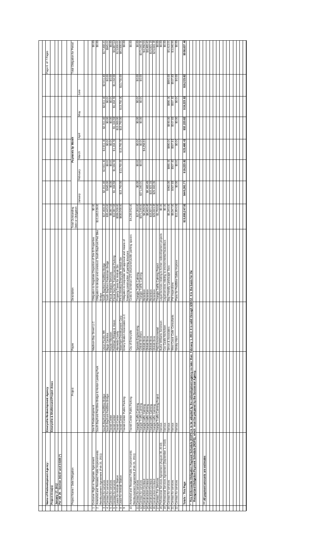| Name of Redevelopment Agency:                                                                | Emeryville Redevelopment Agency                                                                                                                                                                                                                                                                                                 |                                            |                                                                                                        |                                         |                            |                      |                      |                            |             |                       | Page 6 of 7 Pages           |
|----------------------------------------------------------------------------------------------|---------------------------------------------------------------------------------------------------------------------------------------------------------------------------------------------------------------------------------------------------------------------------------------------------------------------------------|--------------------------------------------|--------------------------------------------------------------------------------------------------------|-----------------------------------------|----------------------------|----------------------|----------------------|----------------------------|-------------|-----------------------|-----------------------------|
| Project Area(s)                                                                              | Emeryville & Shellmound Project Areas                                                                                                                                                                                                                                                                                           |                                            |                                                                                                        |                                         |                            |                      |                      |                            |             |                       |                             |
| January 17, 2012                                                                             |                                                                                                                                                                                                                                                                                                                                 |                                            |                                                                                                        |                                         |                            |                      |                      |                            |             |                       |                             |
| Per AB 26 - Section 34167 and 34169 (*)                                                      |                                                                                                                                                                                                                                                                                                                                 |                                            |                                                                                                        |                                         |                            |                      |                      |                            |             |                       |                             |
|                                                                                              |                                                                                                                                                                                                                                                                                                                                 |                                            |                                                                                                        |                                         |                            |                      |                      |                            |             |                       |                             |
| Project Name / Debt Obligation                                                               | Project                                                                                                                                                                                                                                                                                                                         | Payee                                      | Description                                                                                            | Total Outstanding<br>Debt or Obligation |                            |                      | Payments by Month    |                            |             |                       | Total Obligation for Period |
|                                                                                              |                                                                                                                                                                                                                                                                                                                                 |                                            |                                                                                                        |                                         | February<br>January        | March                | April                | May                        | June        |                       |                             |
| Exclusive Right ot Negotiate Agreement                                                       | Site B Redevelopment                                                                                                                                                                                                                                                                                                            | Madison Bay Street LLC                     | Obligation to Negotiate Dispsition of Site B Properties                                                | \$0.00                                  |                            |                      |                      |                            |             |                       | \$0.00                      |
| Amended and Restated Public Improvements<br>Reimbursement Agreement (Feb 15, 2011)<br>$\sim$ | South Bayfront Ped Bike Bridge & Horton Landing Park                                                                                                                                                                                                                                                                            |                                            | Obligation to design and construct South Bayfront Ped Bike                                             | \$10,183,539.00                         |                            |                      |                      |                            |             |                       | \$0.00                      |
|                                                                                              |                                                                                                                                                                                                                                                                                                                                 |                                            | Bridge                                                                                                 |                                         | \$2,911.40                 |                      |                      | \$2,911.40                 | \$2,911.40  |                       | \$17,468.40                 |
| Contract for services<br>Contract for services<br>4                                          | South Bayfront Ped/Bike Bridge<br>South Bayfront Ped/Bike Bridge                                                                                                                                                                                                                                                                | Union Pacific RF<br><b>Biggs Cardosa</b>   | Pedestrian Bridge<br>ed/Bike Bridge<br>South Bayfront<br>South Bayfront                                | \$35,445.00<br>\$17,468.3               | \$945.00                   | \$0.00<br>\$2,911.40 | \$2,911.40<br>\$0.00 | $\frac{80.00}{50}$         | 00.08       | \$0.00<br>\$2,911.40  | \$945.00                    |
| Contract for services<br>ю                                                                   | <b>Transit Center</b>                                                                                                                                                                                                                                                                                                           | Keyser Marston                             | Services<br>Fiscal Analysis                                                                            | \$6,987.55                              | 80.00                      | \$0.00               | \$0.00               | 0.06                       | 00.0\$      | 00.0\$                | \$0.00                      |
| 6 Contract for services                                                                      | <b>Transit Center</b>                                                                                                                                                                                                                                                                                                           | Fieldman Rolapp & Assoc                    | Transit Center Parking<br>Fiscal Svcs for                                                              | \$12,987.55                             | \$1,164.59                 | \$1,164.59           | \$1,164.59           | \$1,164.59                 | \$1,164.59  | \$1,164.59            | \$6,987.54                  |
| Lease for Amtrak Station<br>Lease for Amtrak Station<br>∞                                    | <b>Transit Center</b><br>Transit Center                                                                                                                                                                                                                                                                                         | Wareham Development Corp<br>Alameda County | PA to develop Emeryville Amtrak Stn<br>for Amtrak Stn<br>Property Taxes                                | \$339,300.00<br>\$630,000.00            | \$13,750.00                | \$13,750.00          | \$13,750.00          | \$13,000.00<br>\$13,750.00 | \$13,750.00 | \$13,750.00           | \$13,000.00<br>\$82,500.00  |
| თ                                                                                            | Transit Center Public Parking                                                                                                                                                                                                                                                                                                   | Emery Station Associates LLC               | Obligation to cooperate with approval and means of                                                     |                                         |                            |                      |                      |                            |             |                       | \$0.00                      |
| 10 Amended and Restated Public Improvements                                                  | Transit Center Public Parking                                                                                                                                                                                                                                                                                                   | City of Emeryville                         | Costs to construct 125 structured public parking spaces<br>financing construction of parking structure | \$4,230,952.00                          |                            |                      |                      |                            |             |                       | \$0.00                      |
| Reimbursement Agreement (Feb 15, 2011)<br>Contract for services<br>Ξ                         | Triangle Traffic Calming                                                                                                                                                                                                                                                                                                        | Sposeto Engineering                        | Calming<br>Triangle Traffic C                                                                          | \$17,300.00                             | \$0.00                     |                      | \$0.00               |                            |             |                       | \$0.00                      |
| 12 Contract for services                                                                     | Triangle Traffic Calming                                                                                                                                                                                                                                                                                                        | Ghilotti Brothers                          | Calming<br>Triangle Traffic                                                                            | \$371,040.00                            | \$371,040.00               | 80.00                | \$0.00               | \$0.00                     | \$0.00      | $\frac{$0.00}{00.00}$ | \$371,040.00                |
| <b>Construction Contract</b><br>$\frac{3}{2}$                                                | Triangle traffic Calming                                                                                                                                                                                                                                                                                                        | Chilotti Bros                              | Retention                                                                                              | \$4,256.59<br>\$8,465.45                |                            |                      | \$4,256.59           |                            |             |                       | \$4,256.59<br>\$8,465.45    |
| 14 Construction Contract                                                                     | Triangle traffic Calming                                                                                                                                                                                                                                                                                                        |                                            | Retention                                                                                              |                                         | \$8,465.45                 |                      |                      |                            |             |                       |                             |
| <b>Construction Contract</b><br>$\frac{15}{2}$                                               | Triangle traffic Calming                                                                                                                                                                                                                                                                                                        | Ghilotti Bros<br>Ghilotti Bros             | Retention                                                                                              | \$29,693.35<br>\$15,821.15              | \$15,821.15<br>\$29,693.35 |                      |                      |                            |             |                       | \$15,821.15<br>\$29,693.35  |
| 17 Contract For Services<br>Construction Contract<br>16                                      | Triangle Traffic Calming Project<br>Triangle traffic Calming                                                                                                                                                                                                                                                                    | P&D Environmental                          | Triangle Traffic Calming Project<br>Retention                                                          | \$1,750.00                              |                            |                      |                      |                            |             |                       | \$0.00                      |
| Professional Services Agreement (August 30, 2010)<br>$\frac{8}{16}$                          | Various                                                                                                                                                                                                                                                                                                                         | Burke Williams Sorenson                    | elating to former redevelopment projects<br>Legal Services                                             | \$0.00                                  |                            |                      |                      |                            |             |                       | \$0.00                      |
| 19 Professional Services Agreement (September 1, 2010)                                       | Various                                                                                                                                                                                                                                                                                                                         | Cox Castle Nicholsen                       | Legal services relating to environmental hazardous                                                     | \$0.00                                  |                            |                      |                      |                            |             |                       | \$0.00                      |
| 20 Contract for services                                                                     | Various                                                                                                                                                                                                                                                                                                                         | Simon & Associates                         | Bay Friendly Landscape Svcs                                                                            | \$5,340.00                              | \$963.00                   | \$890.00             | \$890.00             | \$890.00                   | \$890.00    | \$890.00              | \$5,413.00                  |
| Contract for services<br>$\overline{2}$                                                      | Various                                                                                                                                                                                                                                                                                                                         | West Coast Code Consultants                | PW Inspections                                                                                         | \$8,047.00                              | \$507.83                   | \$507.83             | \$507.83             | \$507.83                   | \$507.83    | \$507.83              | \$3,046.98                  |
| 22 Contract for services                                                                     | Various                                                                                                                                                                                                                                                                                                                         | Kimley-Horn                                | Plans for Ped/Bike Safety Improve                                                                      | \$11,854.91                             | \$0.00                     | \$0.00               | \$0.00               | \$0.00                     | \$0.00      | \$0.00                | \$0.00                      |
| Totals - This Page                                                                           |                                                                                                                                                                                                                                                                                                                                 |                                            |                                                                                                        | \$15,930,247.92                         | \$445,261.77               | \$19,223.82          | \$23,480.41          | \$32,223.82                | \$19,223.82 | \$19,223.82           | \$558,637.46                |
|                                                                                              | . This Enforceable Obligation Payment Scheckel eith ein seide der de beide der de der de versien der de versien der de versien der de versien der an der de versien der de versien der de versien der de versien der de versi<br>Recognized Obligation Payment Schedule (ROPS), which must be prepared by the Successor Agency. |                                            |                                                                                                        |                                         |                            |                      |                      |                            |             |                       |                             |
|                                                                                              |                                                                                                                                                                                                                                                                                                                                 |                                            |                                                                                                        |                                         |                            |                      |                      |                            |             |                       |                             |
| *** All payment amounts are estimates                                                        |                                                                                                                                                                                                                                                                                                                                 |                                            |                                                                                                        |                                         |                            |                      |                      |                            |             |                       |                             |
|                                                                                              |                                                                                                                                                                                                                                                                                                                                 |                                            |                                                                                                        |                                         |                            |                      |                      |                            |             |                       |                             |
|                                                                                              |                                                                                                                                                                                                                                                                                                                                 |                                            |                                                                                                        |                                         |                            |                      |                      |                            |             |                       |                             |
|                                                                                              |                                                                                                                                                                                                                                                                                                                                 |                                            |                                                                                                        |                                         |                            |                      |                      |                            |             |                       |                             |
|                                                                                              |                                                                                                                                                                                                                                                                                                                                 |                                            |                                                                                                        |                                         |                            |                      |                      |                            |             |                       |                             |
|                                                                                              |                                                                                                                                                                                                                                                                                                                                 |                                            |                                                                                                        |                                         |                            |                      |                      |                            |             |                       |                             |
|                                                                                              |                                                                                                                                                                                                                                                                                                                                 |                                            |                                                                                                        |                                         |                            |                      |                      |                            |             |                       |                             |
|                                                                                              |                                                                                                                                                                                                                                                                                                                                 |                                            |                                                                                                        |                                         |                            |                      |                      |                            |             |                       |                             |
|                                                                                              |                                                                                                                                                                                                                                                                                                                                 |                                            |                                                                                                        |                                         |                            |                      |                      |                            |             |                       |                             |
|                                                                                              |                                                                                                                                                                                                                                                                                                                                 |                                            |                                                                                                        |                                         |                            |                      |                      |                            |             |                       |                             |